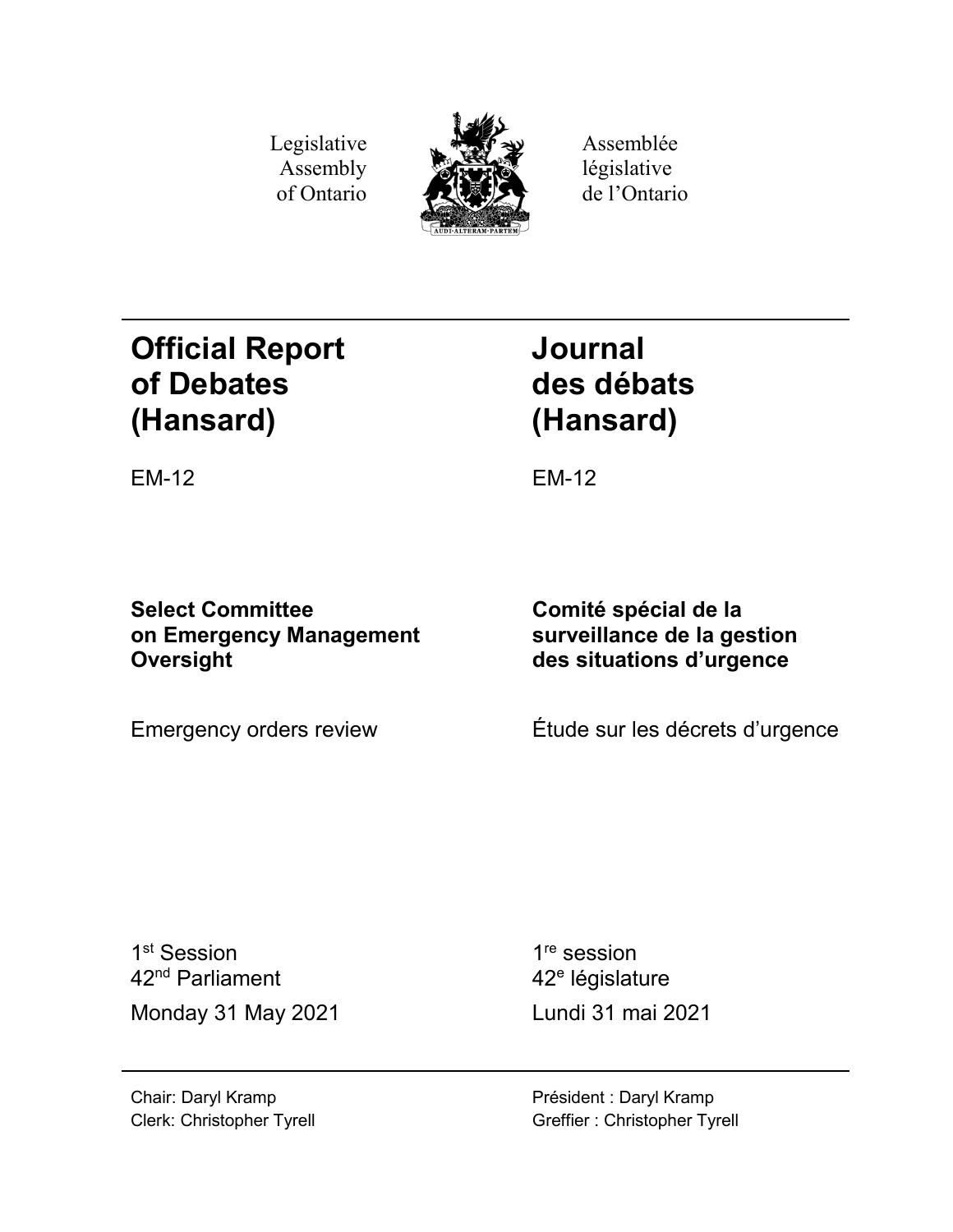Legislative Assembly of Ontario



Assemblée législative de l'Ontario

# **Official Report of Debates (Hansard)**

**Journal des débats (Hansard)**

EM-12 EM-12

**Select Committee on Emergency Management Oversight**

**Comité spécial de la surveillance de la gestion des situations d'urgence**

Emergency orders review Étude sur les décrets d'urgence

1<sup>st</sup> Session 42nd Parliament Monday 31 May 2021 Lundi 31 mai 2021

1<sup>re</sup> session 42<sup>e</sup> législature

Chair: Daryl Kramp Clerk: Christopher Tyrell Président : Daryl Kramp Greffier : Christopher Tyrell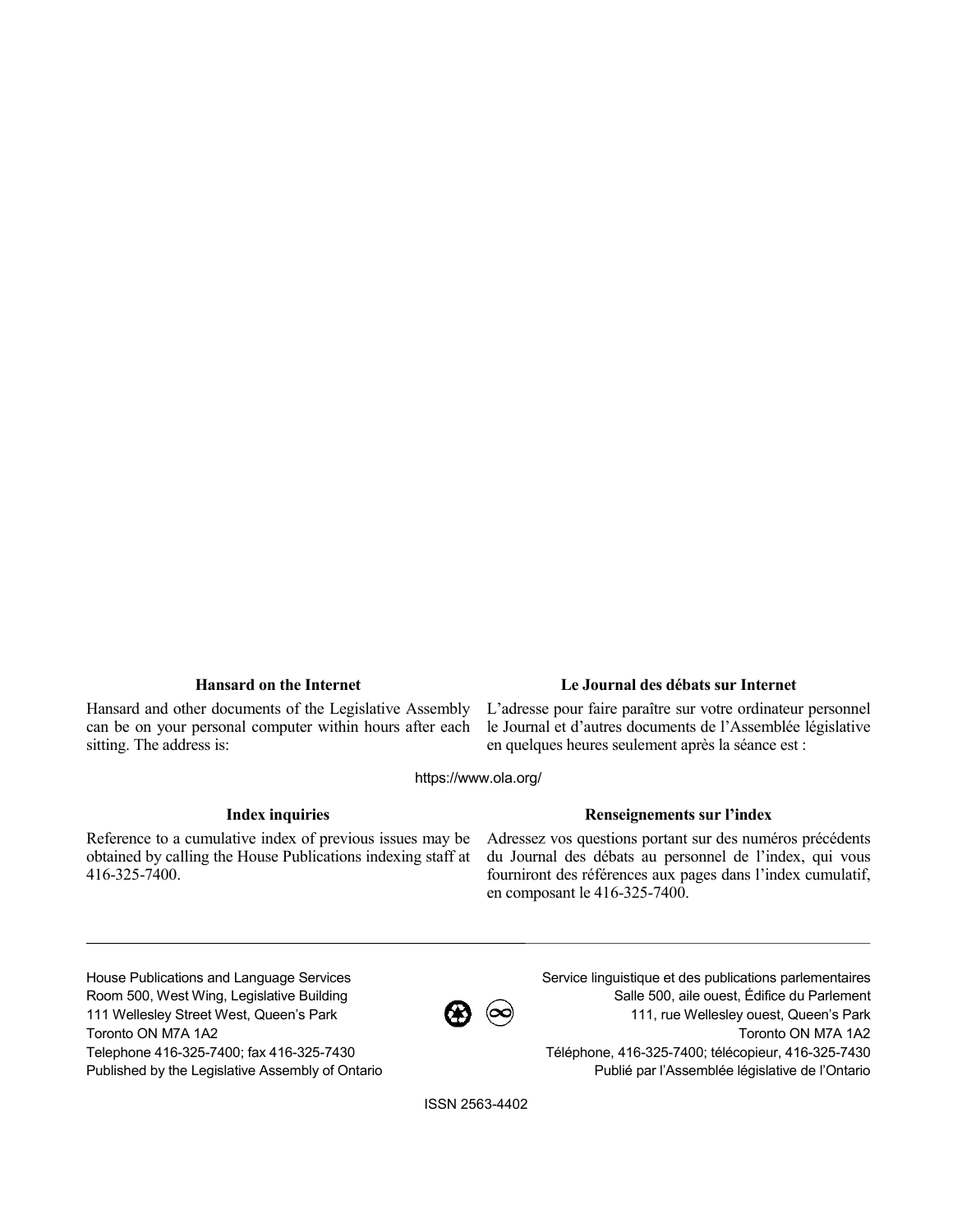Hansard and other documents of the Legislative Assembly can be on your personal computer within hours after each sitting. The address is:

## **Hansard on the Internet Le Journal des débats sur Internet**

L'adresse pour faire paraître sur votre ordinateur personnel le Journal et d'autres documents de l'Assemblée législative en quelques heures seulement après la séance est :

https://www.ola.org/

Reference to a cumulative index of previous issues may be obtained by calling the House Publications indexing staff at 416-325-7400.

## **Index inquiries Renseignements sur l'index**

Adressez vos questions portant sur des numéros précédents du Journal des débats au personnel de l'index, qui vous fourniront des références aux pages dans l'index cumulatif, en composant le 416-325-7400.

House Publications and Language Services Room 500, West Wing, Legislative Building 111 Wellesley Street West, Queen's Park Toronto ON M7A 1A2 Telephone 416-325-7400; fax 416-325-7430 Published by the Legislative Assembly of Ontario



Service linguistique et des publications parlementaires Salle 500, aile ouest, Édifice du Parlement 111, rue Wellesley ouest, Queen's Park Toronto ON M7A 1A2 Téléphone, 416-325-7400; télécopieur, 416-325-7430 Publié par l'Assemblée législative de l'Ontario

ISSN 2563-4402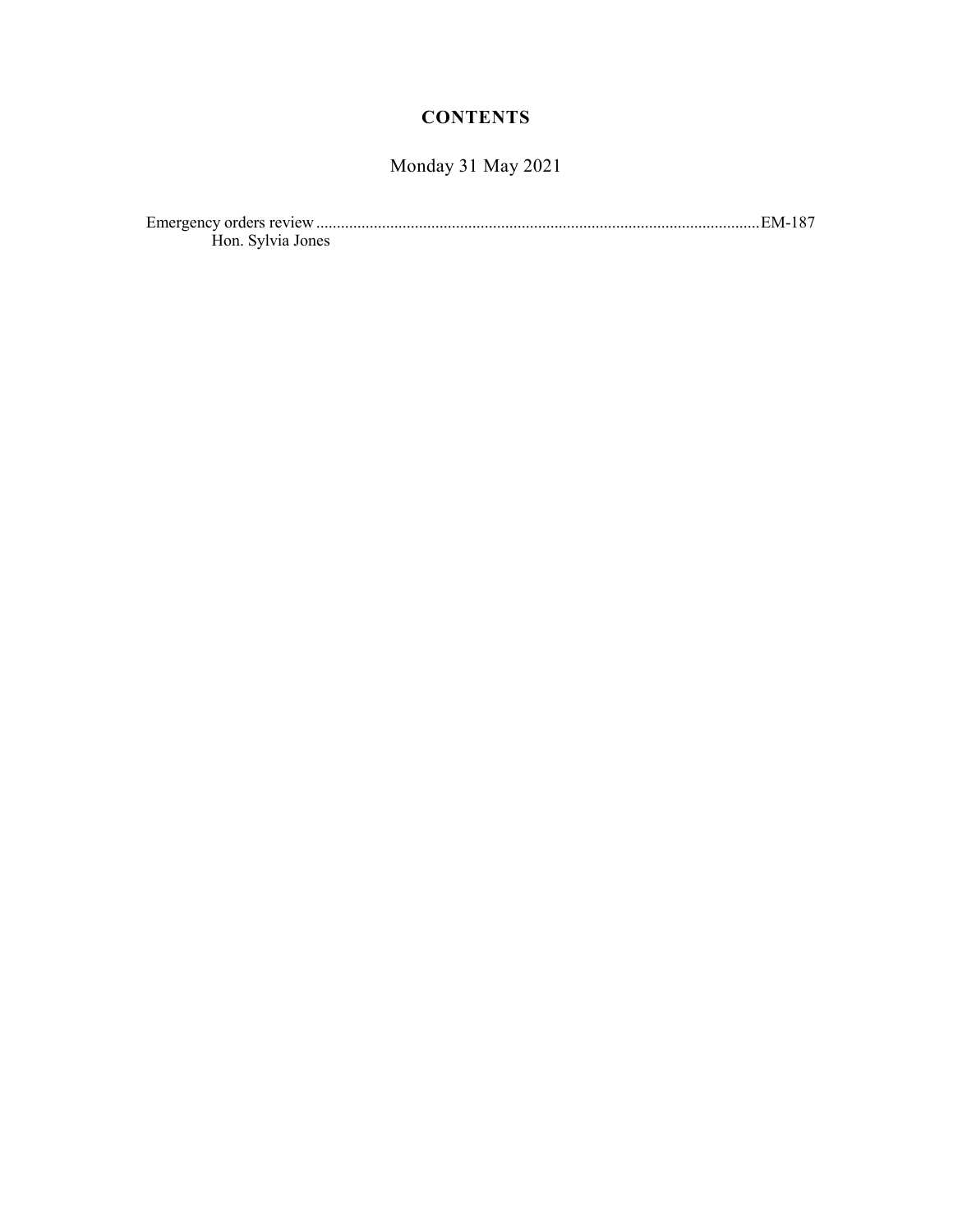## **CONTENTS**

## Monday 31 May 2021

| Hon. Sylvia Jones |  |
|-------------------|--|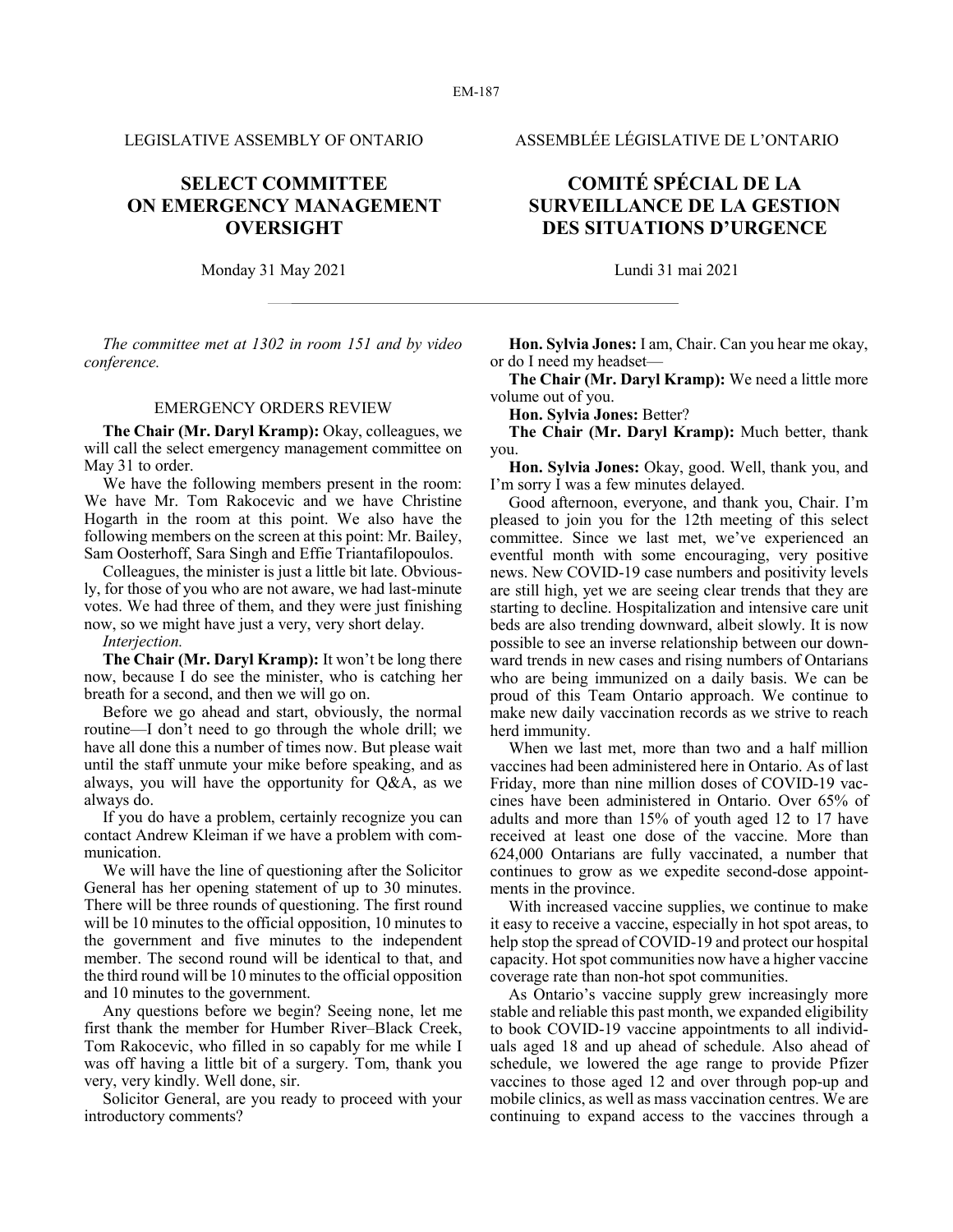## **SELECT COMMITTEE ON EMERGENCY MANAGEMENT OVERSIGHT**

Monday 31 May 2021 Lundi 31 mai 2021

*The committee met at 1302 in room 151 and by video conference.*

### EMERGENCY ORDERS REVIEW

**The Chair (Mr. Daryl Kramp):** Okay, colleagues, we will call the select emergency management committee on May 31 to order.

We have the following members present in the room: We have Mr. Tom Rakocevic and we have Christine Hogarth in the room at this point. We also have the following members on the screen at this point: Mr. Bailey, Sam Oosterhoff, Sara Singh and Effie Triantafilopoulos.

Colleagues, the minister is just a little bit late. Obviously, for those of you who are not aware, we had last-minute votes. We had three of them, and they were just finishing now, so we might have just a very, very short delay.

*Interjection.*

**The Chair (Mr. Daryl Kramp):** It won't be long there now, because I do see the minister, who is catching her breath for a second, and then we will go on.

Before we go ahead and start, obviously, the normal routine—I don't need to go through the whole drill; we have all done this a number of times now. But please wait until the staff unmute your mike before speaking, and as always, you will have the opportunity for Q&A, as we always do.

If you do have a problem, certainly recognize you can contact Andrew Kleiman if we have a problem with communication.

We will have the line of questioning after the Solicitor General has her opening statement of up to 30 minutes. There will be three rounds of questioning. The first round will be 10 minutes to the official opposition, 10 minutes to the government and five minutes to the independent member. The second round will be identical to that, and the third round will be 10 minutes to the official opposition and 10 minutes to the government.

Any questions before we begin? Seeing none, let me first thank the member for Humber River–Black Creek, Tom Rakocevic, who filled in so capably for me while I was off having a little bit of a surgery. Tom, thank you very, very kindly. Well done, sir.

Solicitor General, are you ready to proceed with your introductory comments?

## LEGISLATIVE ASSEMBLY OF ONTARIO ASSEMBLÉE LÉGISLATIVE DE L'ONTARIO

## **COMITÉ SPÉCIAL DE LA SURVEILLANCE DE LA GESTION DES SITUATIONS D'URGENCE**

**Hon. Sylvia Jones:** I am, Chair. Can you hear me okay, or do I need my headset—

**The Chair (Mr. Daryl Kramp):** We need a little more volume out of you.

**Hon. Sylvia Jones:** Better?

**The Chair (Mr. Daryl Kramp):** Much better, thank you.

**Hon. Sylvia Jones:** Okay, good. Well, thank you, and I'm sorry I was a few minutes delayed.

Good afternoon, everyone, and thank you, Chair. I'm pleased to join you for the 12th meeting of this select committee. Since we last met, we've experienced an eventful month with some encouraging, very positive news. New COVID-19 case numbers and positivity levels are still high, yet we are seeing clear trends that they are starting to decline. Hospitalization and intensive care unit beds are also trending downward, albeit slowly. It is now possible to see an inverse relationship between our downward trends in new cases and rising numbers of Ontarians who are being immunized on a daily basis. We can be proud of this Team Ontario approach. We continue to make new daily vaccination records as we strive to reach herd immunity.

When we last met, more than two and a half million vaccines had been administered here in Ontario. As of last Friday, more than nine million doses of COVID-19 vaccines have been administered in Ontario. Over 65% of adults and more than 15% of youth aged 12 to 17 have received at least one dose of the vaccine. More than 624,000 Ontarians are fully vaccinated, a number that continues to grow as we expedite second-dose appointments in the province.

With increased vaccine supplies, we continue to make it easy to receive a vaccine, especially in hot spot areas, to help stop the spread of COVID-19 and protect our hospital capacity. Hot spot communities now have a higher vaccine coverage rate than non-hot spot communities.

As Ontario's vaccine supply grew increasingly more stable and reliable this past month, we expanded eligibility to book COVID-19 vaccine appointments to all individuals aged 18 and up ahead of schedule. Also ahead of schedule, we lowered the age range to provide Pfizer vaccines to those aged 12 and over through pop-up and mobile clinics, as well as mass vaccination centres. We are continuing to expand access to the vaccines through a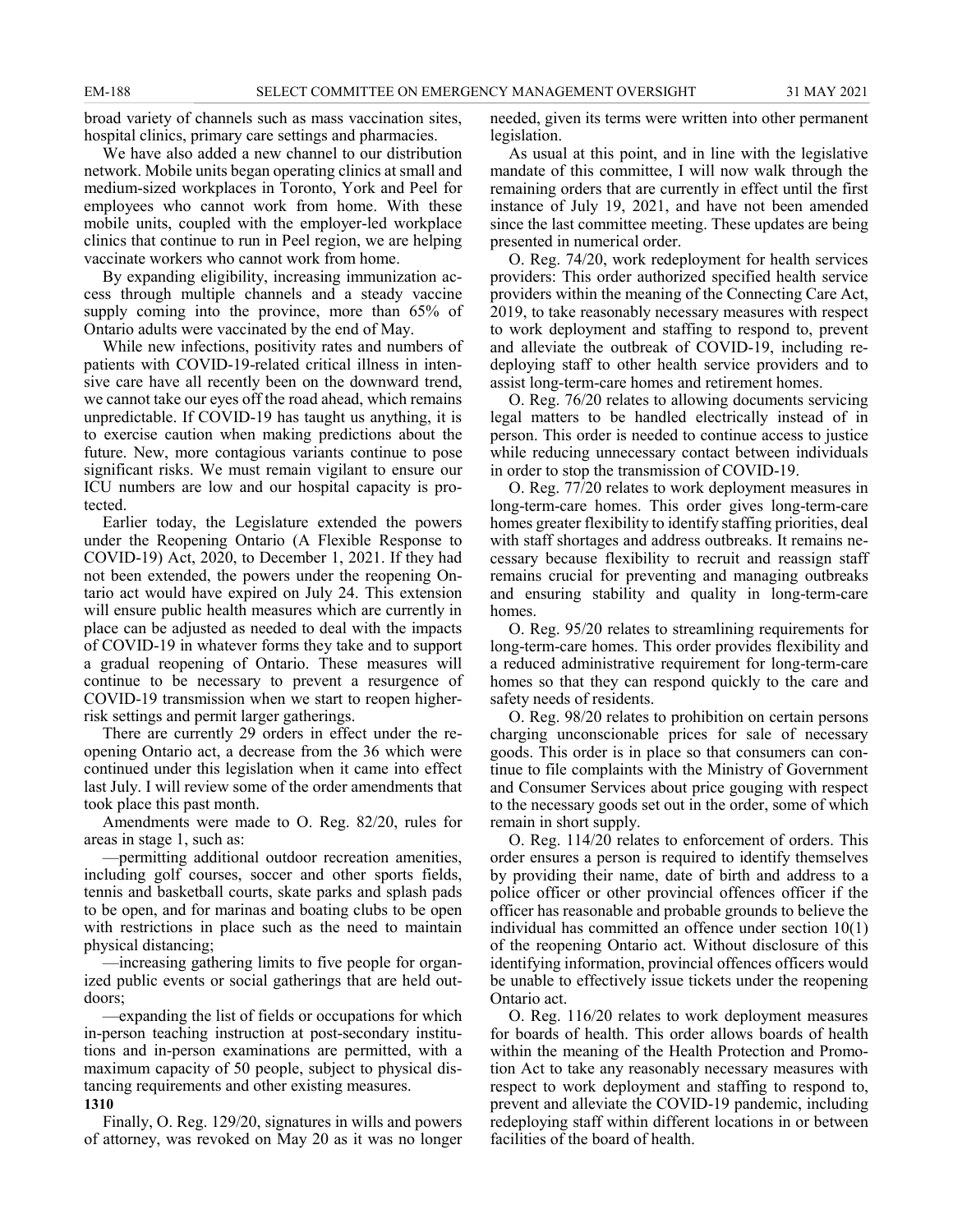broad variety of channels such as mass vaccination sites, hospital clinics, primary care settings and pharmacies.

We have also added a new channel to our distribution network. Mobile units began operating clinics at small and medium-sized workplaces in Toronto, York and Peel for employees who cannot work from home. With these mobile units, coupled with the employer-led workplace clinics that continue to run in Peel region, we are helping vaccinate workers who cannot work from home.

By expanding eligibility, increasing immunization access through multiple channels and a steady vaccine supply coming into the province, more than 65% of Ontario adults were vaccinated by the end of May.

While new infections, positivity rates and numbers of patients with COVID-19-related critical illness in intensive care have all recently been on the downward trend, we cannot take our eyes off the road ahead, which remains unpredictable. If COVID-19 has taught us anything, it is to exercise caution when making predictions about the future. New, more contagious variants continue to pose significant risks. We must remain vigilant to ensure our ICU numbers are low and our hospital capacity is protected.

Earlier today, the Legislature extended the powers under the Reopening Ontario (A Flexible Response to COVID-19) Act, 2020, to December 1, 2021. If they had not been extended, the powers under the reopening Ontario act would have expired on July 24. This extension will ensure public health measures which are currently in place can be adjusted as needed to deal with the impacts of COVID-19 in whatever forms they take and to support a gradual reopening of Ontario. These measures will continue to be necessary to prevent a resurgence of COVID-19 transmission when we start to reopen higherrisk settings and permit larger gatherings.

There are currently 29 orders in effect under the reopening Ontario act, a decrease from the 36 which were continued under this legislation when it came into effect last July. I will review some of the order amendments that took place this past month.

Amendments were made to O. Reg. 82/20, rules for areas in stage 1, such as:

—permitting additional outdoor recreation amenities, including golf courses, soccer and other sports fields, tennis and basketball courts, skate parks and splash pads to be open, and for marinas and boating clubs to be open with restrictions in place such as the need to maintain physical distancing;

—increasing gathering limits to five people for organized public events or social gatherings that are held outdoors;

—expanding the list of fields or occupations for which in-person teaching instruction at post-secondary institutions and in-person examinations are permitted, with a maximum capacity of 50 people, subject to physical distancing requirements and other existing measures. **1310**

## Finally, O. Reg. 129/20, signatures in wills and powers of attorney, was revoked on May 20 as it was no longer

needed, given its terms were written into other permanent legislation.

As usual at this point, and in line with the legislative mandate of this committee, I will now walk through the remaining orders that are currently in effect until the first instance of July 19, 2021, and have not been amended since the last committee meeting. These updates are being presented in numerical order.

O. Reg. 74/20, work redeployment for health services providers: This order authorized specified health service providers within the meaning of the Connecting Care Act, 2019, to take reasonably necessary measures with respect to work deployment and staffing to respond to, prevent and alleviate the outbreak of COVID-19, including redeploying staff to other health service providers and to assist long-term-care homes and retirement homes.

O. Reg. 76/20 relates to allowing documents servicing legal matters to be handled electrically instead of in person. This order is needed to continue access to justice while reducing unnecessary contact between individuals in order to stop the transmission of COVID-19.

O. Reg. 77/20 relates to work deployment measures in long-term-care homes. This order gives long-term-care homes greater flexibility to identify staffing priorities, deal with staff shortages and address outbreaks. It remains necessary because flexibility to recruit and reassign staff remains crucial for preventing and managing outbreaks and ensuring stability and quality in long-term-care homes.

O. Reg. 95/20 relates to streamlining requirements for long-term-care homes. This order provides flexibility and a reduced administrative requirement for long-term-care homes so that they can respond quickly to the care and safety needs of residents.

O. Reg. 98/20 relates to prohibition on certain persons charging unconscionable prices for sale of necessary goods. This order is in place so that consumers can continue to file complaints with the Ministry of Government and Consumer Services about price gouging with respect to the necessary goods set out in the order, some of which remain in short supply.

O. Reg. 114/20 relates to enforcement of orders. This order ensures a person is required to identify themselves by providing their name, date of birth and address to a police officer or other provincial offences officer if the officer has reasonable and probable grounds to believe the individual has committed an offence under section 10(1) of the reopening Ontario act. Without disclosure of this identifying information, provincial offences officers would be unable to effectively issue tickets under the reopening Ontario act.

O. Reg. 116/20 relates to work deployment measures for boards of health. This order allows boards of health within the meaning of the Health Protection and Promotion Act to take any reasonably necessary measures with respect to work deployment and staffing to respond to, prevent and alleviate the COVID-19 pandemic, including redeploying staff within different locations in or between facilities of the board of health.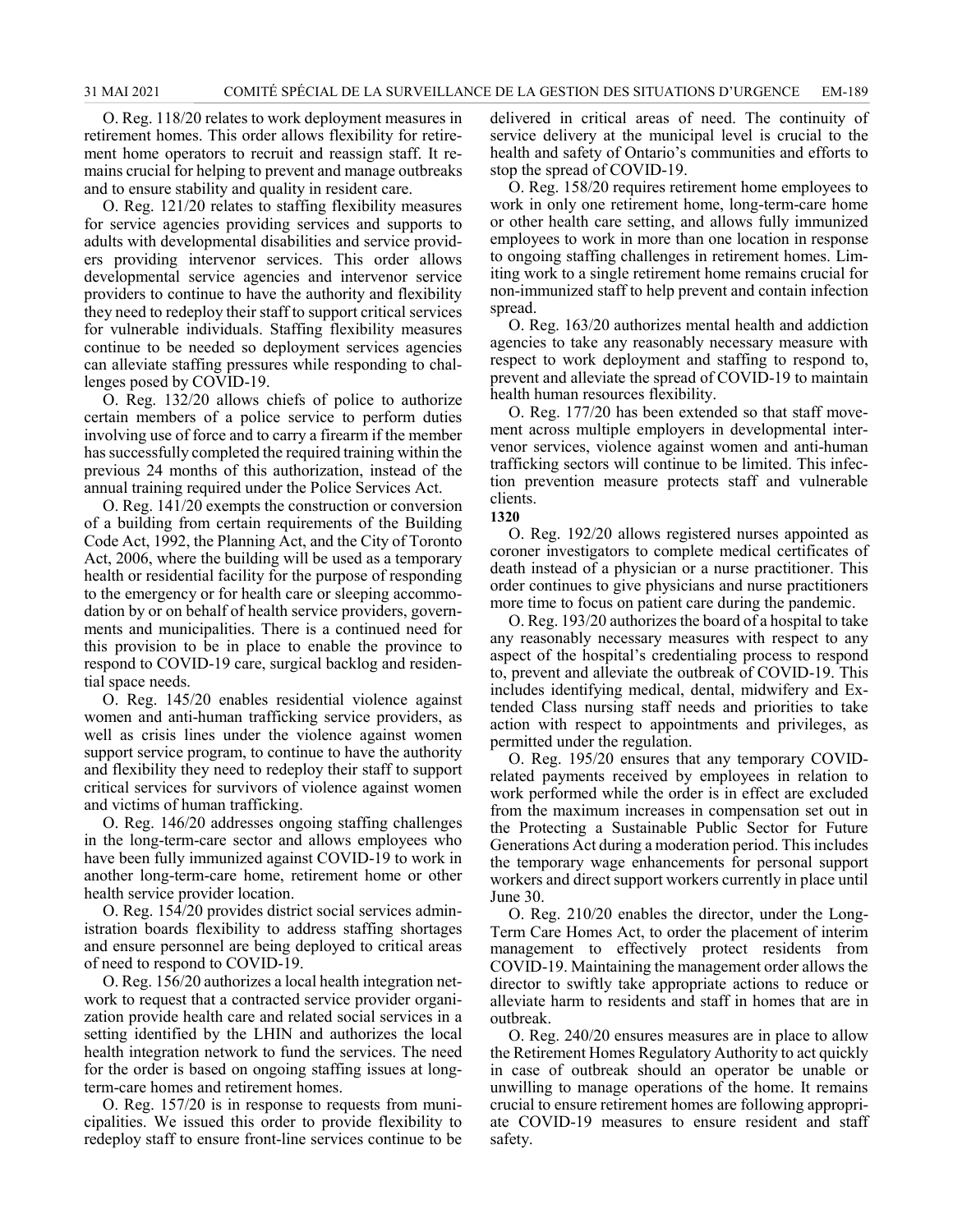O. Reg. 118/20 relates to work deployment measures in retirement homes. This order allows flexibility for retirement home operators to recruit and reassign staff. It remains crucial for helping to prevent and manage outbreaks and to ensure stability and quality in resident care.

O. Reg. 121/20 relates to staffing flexibility measures for service agencies providing services and supports to adults with developmental disabilities and service providers providing intervenor services. This order allows developmental service agencies and intervenor service providers to continue to have the authority and flexibility they need to redeploy their staff to support critical services for vulnerable individuals. Staffing flexibility measures continue to be needed so deployment services agencies can alleviate staffing pressures while responding to challenges posed by COVID-19.

O. Reg. 132/20 allows chiefs of police to authorize certain members of a police service to perform duties involving use of force and to carry a firearm if the member has successfully completed the required training within the previous 24 months of this authorization, instead of the annual training required under the Police Services Act.

O. Reg. 141/20 exempts the construction or conversion of a building from certain requirements of the Building Code Act, 1992, the Planning Act, and the City of Toronto Act, 2006, where the building will be used as a temporary health or residential facility for the purpose of responding to the emergency or for health care or sleeping accommodation by or on behalf of health service providers, governments and municipalities. There is a continued need for this provision to be in place to enable the province to respond to COVID-19 care, surgical backlog and residential space needs.

O. Reg. 145/20 enables residential violence against women and anti-human trafficking service providers, as well as crisis lines under the violence against women support service program, to continue to have the authority and flexibility they need to redeploy their staff to support critical services for survivors of violence against women and victims of human trafficking.

O. Reg. 146/20 addresses ongoing staffing challenges in the long-term-care sector and allows employees who have been fully immunized against COVID-19 to work in another long-term-care home, retirement home or other health service provider location.

O. Reg. 154/20 provides district social services administration boards flexibility to address staffing shortages and ensure personnel are being deployed to critical areas of need to respond to COVID-19.

O. Reg. 156/20 authorizes a local health integration network to request that a contracted service provider organization provide health care and related social services in a setting identified by the LHIN and authorizes the local health integration network to fund the services. The need for the order is based on ongoing staffing issues at longterm-care homes and retirement homes.

O. Reg. 157/20 is in response to requests from municipalities. We issued this order to provide flexibility to redeploy staff to ensure front-line services continue to be delivered in critical areas of need. The continuity of service delivery at the municipal level is crucial to the health and safety of Ontario's communities and efforts to stop the spread of COVID-19.

O. Reg. 158/20 requires retirement home employees to work in only one retirement home, long-term-care home or other health care setting, and allows fully immunized employees to work in more than one location in response to ongoing staffing challenges in retirement homes. Limiting work to a single retirement home remains crucial for non-immunized staff to help prevent and contain infection spread.

O. Reg. 163/20 authorizes mental health and addiction agencies to take any reasonably necessary measure with respect to work deployment and staffing to respond to, prevent and alleviate the spread of COVID-19 to maintain health human resources flexibility.

O. Reg. 177/20 has been extended so that staff movement across multiple employers in developmental intervenor services, violence against women and anti-human trafficking sectors will continue to be limited. This infection prevention measure protects staff and vulnerable clients.

#### **1320**

O. Reg. 192/20 allows registered nurses appointed as coroner investigators to complete medical certificates of death instead of a physician or a nurse practitioner. This order continues to give physicians and nurse practitioners more time to focus on patient care during the pandemic.

O. Reg. 193/20 authorizes the board of a hospital to take any reasonably necessary measures with respect to any aspect of the hospital's credentialing process to respond to, prevent and alleviate the outbreak of COVID-19. This includes identifying medical, dental, midwifery and Extended Class nursing staff needs and priorities to take action with respect to appointments and privileges, as permitted under the regulation.

O. Reg. 195/20 ensures that any temporary COVIDrelated payments received by employees in relation to work performed while the order is in effect are excluded from the maximum increases in compensation set out in the Protecting a Sustainable Public Sector for Future Generations Act during a moderation period. This includes the temporary wage enhancements for personal support workers and direct support workers currently in place until June 30.

O. Reg. 210/20 enables the director, under the Long-Term Care Homes Act, to order the placement of interim management to effectively protect residents from COVID-19. Maintaining the management order allows the director to swiftly take appropriate actions to reduce or alleviate harm to residents and staff in homes that are in outbreak.

O. Reg. 240/20 ensures measures are in place to allow the Retirement Homes Regulatory Authority to act quickly in case of outbreak should an operator be unable or unwilling to manage operations of the home. It remains crucial to ensure retirement homes are following appropriate COVID-19 measures to ensure resident and staff safety.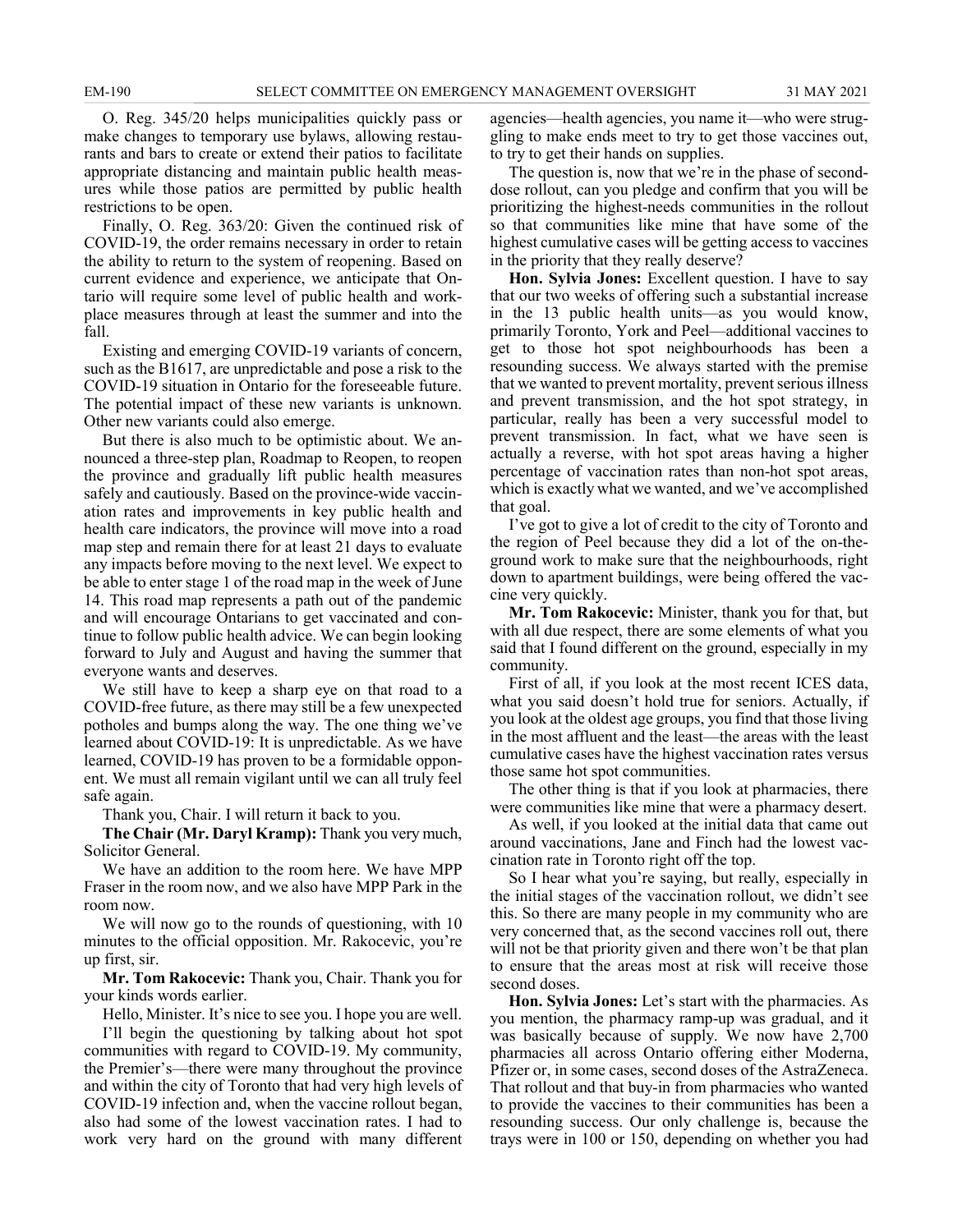O. Reg. 345/20 helps municipalities quickly pass or make changes to temporary use bylaws, allowing restaurants and bars to create or extend their patios to facilitate appropriate distancing and maintain public health measures while those patios are permitted by public health restrictions to be open.

Finally, O. Reg. 363/20: Given the continued risk of COVID-19, the order remains necessary in order to retain the ability to return to the system of reopening. Based on current evidence and experience, we anticipate that Ontario will require some level of public health and workplace measures through at least the summer and into the fall.

Existing and emerging COVID-19 variants of concern, such as the B1617, are unpredictable and pose a risk to the COVID-19 situation in Ontario for the foreseeable future. The potential impact of these new variants is unknown. Other new variants could also emerge.

But there is also much to be optimistic about. We announced a three-step plan, Roadmap to Reopen, to reopen the province and gradually lift public health measures safely and cautiously. Based on the province-wide vaccination rates and improvements in key public health and health care indicators, the province will move into a road map step and remain there for at least 21 days to evaluate any impacts before moving to the next level. We expect to be able to enter stage 1 of the road map in the week of June 14. This road map represents a path out of the pandemic and will encourage Ontarians to get vaccinated and continue to follow public health advice. We can begin looking forward to July and August and having the summer that everyone wants and deserves.

We still have to keep a sharp eye on that road to a COVID-free future, as there may still be a few unexpected potholes and bumps along the way. The one thing we've learned about COVID-19: It is unpredictable. As we have learned, COVID-19 has proven to be a formidable opponent. We must all remain vigilant until we can all truly feel safe again.

Thank you, Chair. I will return it back to you.

**The Chair (Mr. Daryl Kramp):** Thank you very much, Solicitor General.

We have an addition to the room here. We have MPP Fraser in the room now, and we also have MPP Park in the room now.

We will now go to the rounds of questioning, with 10 minutes to the official opposition. Mr. Rakocevic, you're up first, sir.

**Mr. Tom Rakocevic:** Thank you, Chair. Thank you for your kinds words earlier.

Hello, Minister. It's nice to see you. I hope you are well.

I'll begin the questioning by talking about hot spot communities with regard to COVID-19. My community, the Premier's—there were many throughout the province and within the city of Toronto that had very high levels of COVID-19 infection and, when the vaccine rollout began, also had some of the lowest vaccination rates. I had to work very hard on the ground with many different

agencies—health agencies, you name it—who were struggling to make ends meet to try to get those vaccines out, to try to get their hands on supplies.

The question is, now that we're in the phase of seconddose rollout, can you pledge and confirm that you will be prioritizing the highest-needs communities in the rollout so that communities like mine that have some of the highest cumulative cases will be getting access to vaccines in the priority that they really deserve?

**Hon. Sylvia Jones:** Excellent question. I have to say that our two weeks of offering such a substantial increase in the 13 public health units—as you would know, primarily Toronto, York and Peel—additional vaccines to get to those hot spot neighbourhoods has been a resounding success. We always started with the premise that we wanted to prevent mortality, prevent serious illness and prevent transmission, and the hot spot strategy, in particular, really has been a very successful model to prevent transmission. In fact, what we have seen is actually a reverse, with hot spot areas having a higher percentage of vaccination rates than non-hot spot areas, which is exactly what we wanted, and we've accomplished that goal.

I've got to give a lot of credit to the city of Toronto and the region of Peel because they did a lot of the on-theground work to make sure that the neighbourhoods, right down to apartment buildings, were being offered the vaccine very quickly.

**Mr. Tom Rakocevic:** Minister, thank you for that, but with all due respect, there are some elements of what you said that I found different on the ground, especially in my community.

First of all, if you look at the most recent ICES data, what you said doesn't hold true for seniors. Actually, if you look at the oldest age groups, you find that those living in the most affluent and the least—the areas with the least cumulative cases have the highest vaccination rates versus those same hot spot communities.

The other thing is that if you look at pharmacies, there were communities like mine that were a pharmacy desert.

As well, if you looked at the initial data that came out around vaccinations, Jane and Finch had the lowest vaccination rate in Toronto right off the top.

So I hear what you're saying, but really, especially in the initial stages of the vaccination rollout, we didn't see this. So there are many people in my community who are very concerned that, as the second vaccines roll out, there will not be that priority given and there won't be that plan to ensure that the areas most at risk will receive those second doses.

**Hon. Sylvia Jones:** Let's start with the pharmacies. As you mention, the pharmacy ramp-up was gradual, and it was basically because of supply. We now have 2,700 pharmacies all across Ontario offering either Moderna, Pfizer or, in some cases, second doses of the AstraZeneca. That rollout and that buy-in from pharmacies who wanted to provide the vaccines to their communities has been a resounding success. Our only challenge is, because the trays were in 100 or 150, depending on whether you had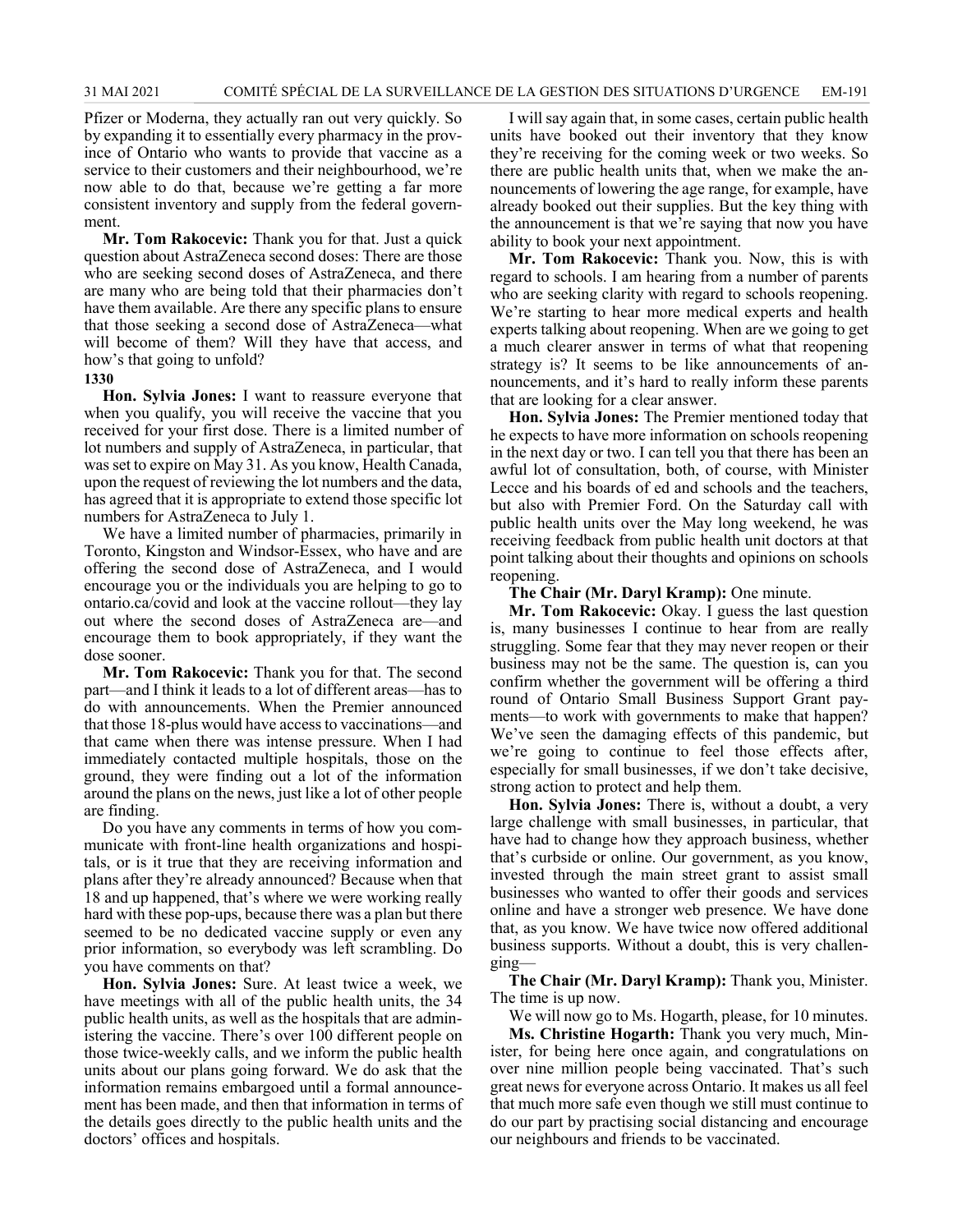Pfizer or Moderna, they actually ran out very quickly. So by expanding it to essentially every pharmacy in the province of Ontario who wants to provide that vaccine as a service to their customers and their neighbourhood, we're now able to do that, because we're getting a far more consistent inventory and supply from the federal government.

**Mr. Tom Rakocevic:** Thank you for that. Just a quick question about AstraZeneca second doses: There are those who are seeking second doses of AstraZeneca, and there are many who are being told that their pharmacies don't have them available. Are there any specific plans to ensure that those seeking a second dose of AstraZeneca—what will become of them? Will they have that access, and how's that going to unfold?

### **1330**

**Hon. Sylvia Jones:** I want to reassure everyone that when you qualify, you will receive the vaccine that you received for your first dose. There is a limited number of lot numbers and supply of AstraZeneca, in particular, that was set to expire on May 31. As you know, Health Canada, upon the request of reviewing the lot numbers and the data, has agreed that it is appropriate to extend those specific lot numbers for AstraZeneca to July 1.

We have a limited number of pharmacies, primarily in Toronto, Kingston and Windsor-Essex, who have and are offering the second dose of AstraZeneca, and I would encourage you or the individuals you are helping to go to ontario.ca/covid and look at the vaccine rollout—they lay out where the second doses of AstraZeneca are—and encourage them to book appropriately, if they want the dose sooner.

**Mr. Tom Rakocevic:** Thank you for that. The second part—and I think it leads to a lot of different areas—has to do with announcements. When the Premier announced that those 18-plus would have access to vaccinations—and that came when there was intense pressure. When I had immediately contacted multiple hospitals, those on the ground, they were finding out a lot of the information around the plans on the news, just like a lot of other people are finding.

Do you have any comments in terms of how you communicate with front-line health organizations and hospitals, or is it true that they are receiving information and plans after they're already announced? Because when that 18 and up happened, that's where we were working really hard with these pop-ups, because there was a plan but there seemed to be no dedicated vaccine supply or even any prior information, so everybody was left scrambling. Do you have comments on that?

**Hon. Sylvia Jones:** Sure. At least twice a week, we have meetings with all of the public health units, the 34 public health units, as well as the hospitals that are administering the vaccine. There's over 100 different people on those twice-weekly calls, and we inform the public health units about our plans going forward. We do ask that the information remains embargoed until a formal announcement has been made, and then that information in terms of the details goes directly to the public health units and the doctors' offices and hospitals.

I will say again that, in some cases, certain public health units have booked out their inventory that they know they're receiving for the coming week or two weeks. So there are public health units that, when we make the announcements of lowering the age range, for example, have already booked out their supplies. But the key thing with the announcement is that we're saying that now you have ability to book your next appointment.

**Mr. Tom Rakocevic:** Thank you. Now, this is with regard to schools. I am hearing from a number of parents who are seeking clarity with regard to schools reopening. We're starting to hear more medical experts and health experts talking about reopening. When are we going to get a much clearer answer in terms of what that reopening strategy is? It seems to be like announcements of announcements, and it's hard to really inform these parents that are looking for a clear answer.

**Hon. Sylvia Jones:** The Premier mentioned today that he expects to have more information on schools reopening in the next day or two. I can tell you that there has been an awful lot of consultation, both, of course, with Minister Lecce and his boards of ed and schools and the teachers, but also with Premier Ford. On the Saturday call with public health units over the May long weekend, he was receiving feedback from public health unit doctors at that point talking about their thoughts and opinions on schools reopening.

**The Chair (Mr. Daryl Kramp):** One minute.

**Mr. Tom Rakocevic:** Okay. I guess the last question is, many businesses I continue to hear from are really struggling. Some fear that they may never reopen or their business may not be the same. The question is, can you confirm whether the government will be offering a third round of Ontario Small Business Support Grant payments—to work with governments to make that happen? We've seen the damaging effects of this pandemic, but we're going to continue to feel those effects after, especially for small businesses, if we don't take decisive, strong action to protect and help them.

**Hon. Sylvia Jones:** There is, without a doubt, a very large challenge with small businesses, in particular, that have had to change how they approach business, whether that's curbside or online. Our government, as you know, invested through the main street grant to assist small businesses who wanted to offer their goods and services online and have a stronger web presence. We have done that, as you know. We have twice now offered additional business supports. Without a doubt, this is very challenging—

**The Chair (Mr. Daryl Kramp):** Thank you, Minister. The time is up now.

We will now go to Ms. Hogarth, please, for 10 minutes.

**Ms. Christine Hogarth:** Thank you very much, Minister, for being here once again, and congratulations on over nine million people being vaccinated. That's such great news for everyone across Ontario. It makes us all feel that much more safe even though we still must continue to do our part by practising social distancing and encourage our neighbours and friends to be vaccinated.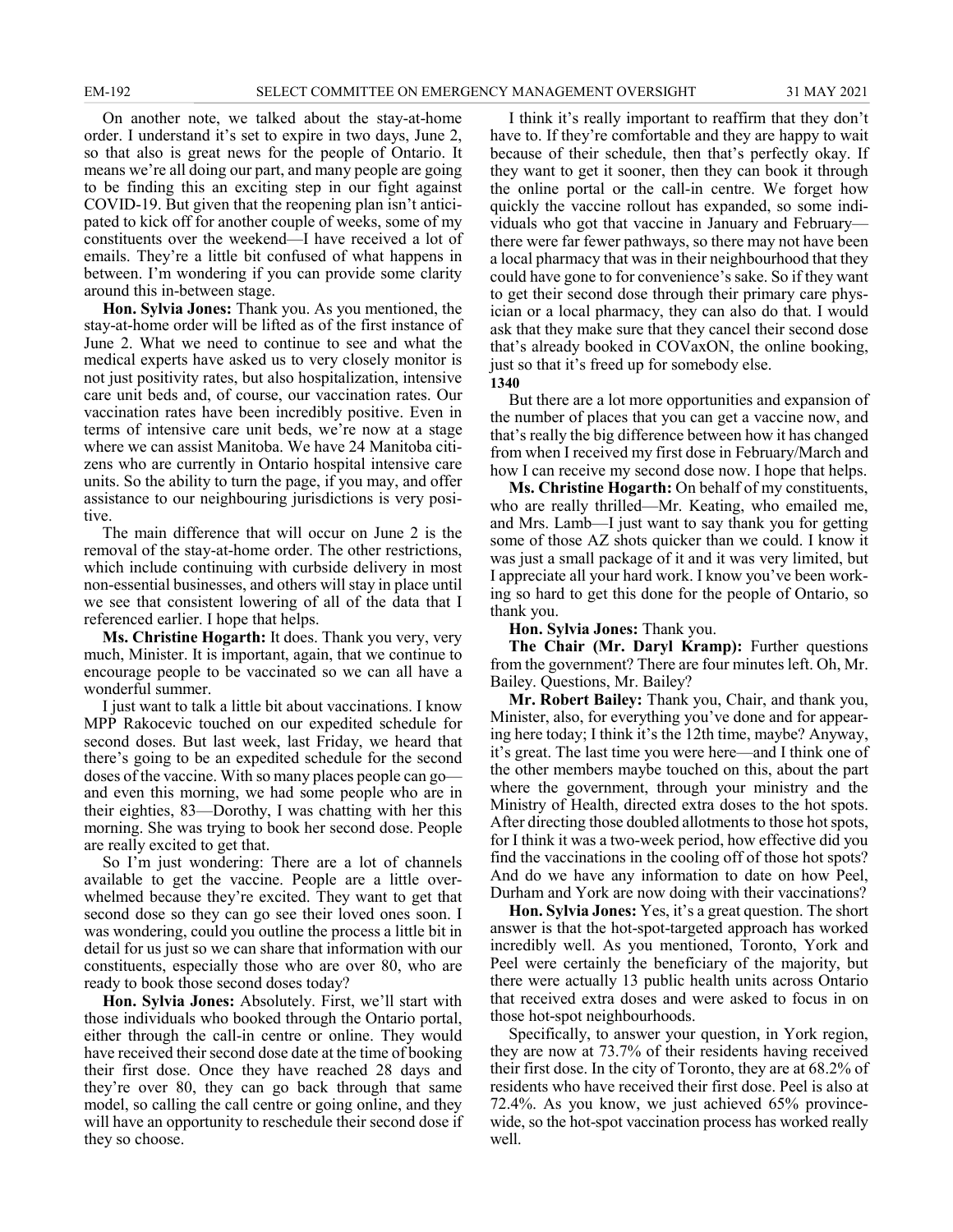On another note, we talked about the stay-at-home order. I understand it's set to expire in two days, June 2, so that also is great news for the people of Ontario. It means we're all doing our part, and many people are going to be finding this an exciting step in our fight against COVID-19. But given that the reopening plan isn't anticipated to kick off for another couple of weeks, some of my constituents over the weekend—I have received a lot of emails. They're a little bit confused of what happens in between. I'm wondering if you can provide some clarity around this in-between stage.

**Hon. Sylvia Jones:** Thank you. As you mentioned, the stay-at-home order will be lifted as of the first instance of June 2. What we need to continue to see and what the medical experts have asked us to very closely monitor is not just positivity rates, but also hospitalization, intensive care unit beds and, of course, our vaccination rates. Our vaccination rates have been incredibly positive. Even in terms of intensive care unit beds, we're now at a stage where we can assist Manitoba. We have 24 Manitoba citizens who are currently in Ontario hospital intensive care units. So the ability to turn the page, if you may, and offer assistance to our neighbouring jurisdictions is very positive.

The main difference that will occur on June 2 is the removal of the stay-at-home order. The other restrictions, which include continuing with curbside delivery in most non-essential businesses, and others will stay in place until we see that consistent lowering of all of the data that I referenced earlier. I hope that helps.

**Ms. Christine Hogarth:** It does. Thank you very, very much, Minister. It is important, again, that we continue to encourage people to be vaccinated so we can all have a wonderful summer.

I just want to talk a little bit about vaccinations. I know MPP Rakocevic touched on our expedited schedule for second doses. But last week, last Friday, we heard that there's going to be an expedited schedule for the second doses of the vaccine. With so many places people can go and even this morning, we had some people who are in their eighties, 83—Dorothy, I was chatting with her this morning. She was trying to book her second dose. People are really excited to get that.

So I'm just wondering: There are a lot of channels available to get the vaccine. People are a little overwhelmed because they're excited. They want to get that second dose so they can go see their loved ones soon. I was wondering, could you outline the process a little bit in detail for us just so we can share that information with our constituents, especially those who are over 80, who are ready to book those second doses today?

**Hon. Sylvia Jones:** Absolutely. First, we'll start with those individuals who booked through the Ontario portal, either through the call-in centre or online. They would have received their second dose date at the time of booking their first dose. Once they have reached 28 days and they're over 80, they can go back through that same model, so calling the call centre or going online, and they will have an opportunity to reschedule their second dose if they so choose.

I think it's really important to reaffirm that they don't have to. If they're comfortable and they are happy to wait because of their schedule, then that's perfectly okay. If they want to get it sooner, then they can book it through the online portal or the call-in centre. We forget how quickly the vaccine rollout has expanded, so some individuals who got that vaccine in January and February there were far fewer pathways, so there may not have been a local pharmacy that was in their neighbourhood that they could have gone to for convenience's sake. So if they want to get their second dose through their primary care physician or a local pharmacy, they can also do that. I would ask that they make sure that they cancel their second dose that's already booked in COVaxON, the online booking, just so that it's freed up for somebody else. **1340**

But there are a lot more opportunities and expansion of the number of places that you can get a vaccine now, and that's really the big difference between how it has changed from when I received my first dose in February/March and how I can receive my second dose now. I hope that helps.

**Ms. Christine Hogarth:** On behalf of my constituents, who are really thrilled—Mr. Keating, who emailed me, and Mrs. Lamb—I just want to say thank you for getting some of those AZ shots quicker than we could. I know it was just a small package of it and it was very limited, but I appreciate all your hard work. I know you've been working so hard to get this done for the people of Ontario, so thank you.

**Hon. Sylvia Jones:** Thank you.

**The Chair (Mr. Daryl Kramp):** Further questions from the government? There are four minutes left. Oh, Mr. Bailey. Questions, Mr. Bailey?

**Mr. Robert Bailey:** Thank you, Chair, and thank you, Minister, also, for everything you've done and for appearing here today; I think it's the 12th time, maybe? Anyway, it's great. The last time you were here—and I think one of the other members maybe touched on this, about the part where the government, through your ministry and the Ministry of Health, directed extra doses to the hot spots. After directing those doubled allotments to those hot spots, for I think it was a two-week period, how effective did you find the vaccinations in the cooling off of those hot spots? And do we have any information to date on how Peel, Durham and York are now doing with their vaccinations?

**Hon. Sylvia Jones:** Yes, it's a great question. The short answer is that the hot-spot-targeted approach has worked incredibly well. As you mentioned, Toronto, York and Peel were certainly the beneficiary of the majority, but there were actually 13 public health units across Ontario that received extra doses and were asked to focus in on those hot-spot neighbourhoods.

Specifically, to answer your question, in York region, they are now at 73.7% of their residents having received their first dose. In the city of Toronto, they are at 68.2% of residents who have received their first dose. Peel is also at 72.4%. As you know, we just achieved 65% provincewide, so the hot-spot vaccination process has worked really well.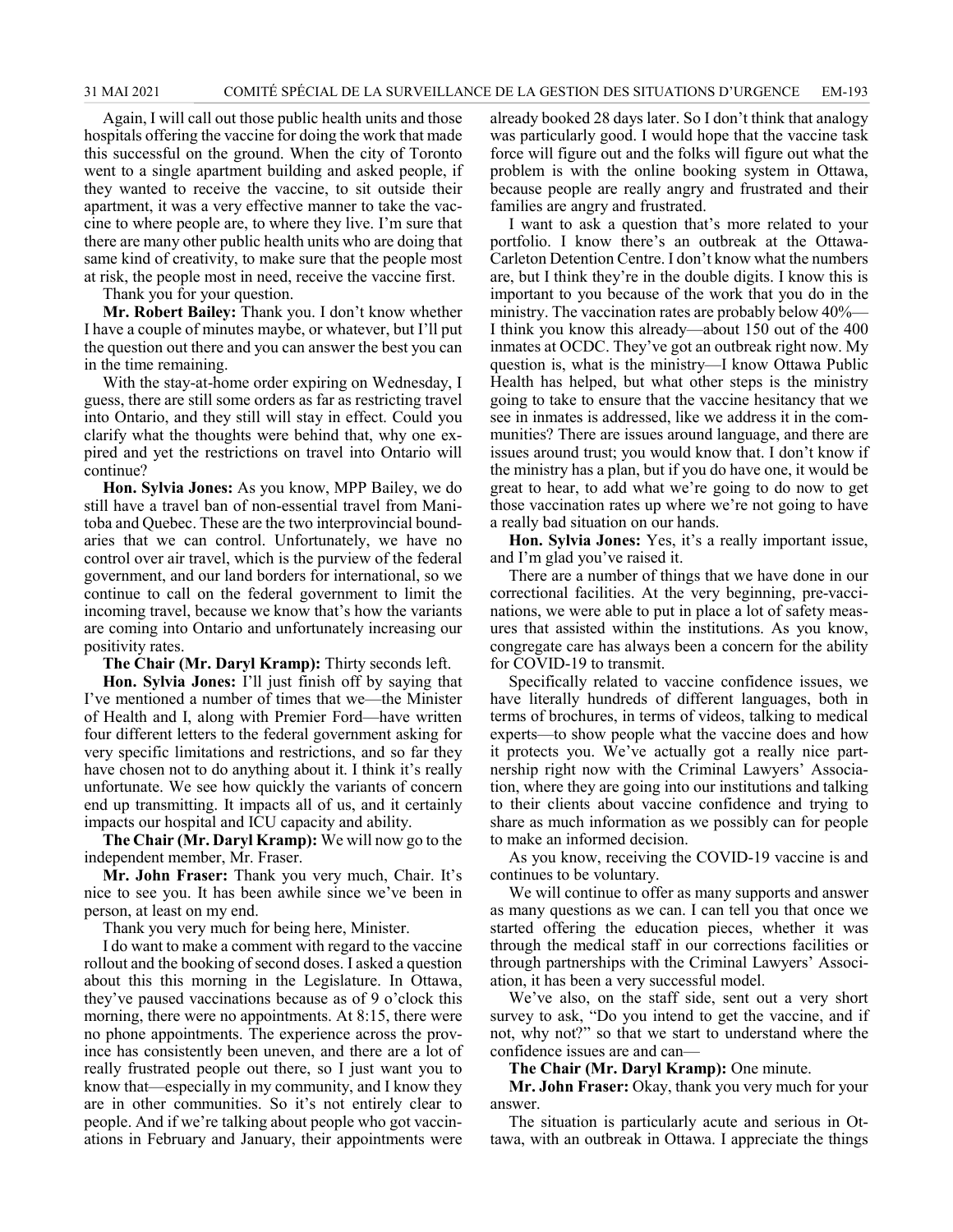Again, I will call out those public health units and those hospitals offering the vaccine for doing the work that made this successful on the ground. When the city of Toronto went to a single apartment building and asked people, if they wanted to receive the vaccine, to sit outside their apartment, it was a very effective manner to take the vaccine to where people are, to where they live. I'm sure that there are many other public health units who are doing that same kind of creativity, to make sure that the people most at risk, the people most in need, receive the vaccine first.

Thank you for your question.

**Mr. Robert Bailey:** Thank you. I don't know whether I have a couple of minutes maybe, or whatever, but I'll put the question out there and you can answer the best you can in the time remaining.

With the stay-at-home order expiring on Wednesday, I guess, there are still some orders as far as restricting travel into Ontario, and they still will stay in effect. Could you clarify what the thoughts were behind that, why one expired and yet the restrictions on travel into Ontario will continue?

**Hon. Sylvia Jones:** As you know, MPP Bailey, we do still have a travel ban of non-essential travel from Manitoba and Quebec. These are the two interprovincial boundaries that we can control. Unfortunately, we have no control over air travel, which is the purview of the federal government, and our land borders for international, so we continue to call on the federal government to limit the incoming travel, because we know that's how the variants are coming into Ontario and unfortunately increasing our positivity rates.

**The Chair (Mr. Daryl Kramp):** Thirty seconds left.

**Hon. Sylvia Jones:** I'll just finish off by saying that I've mentioned a number of times that we—the Minister of Health and I, along with Premier Ford—have written four different letters to the federal government asking for very specific limitations and restrictions, and so far they have chosen not to do anything about it. I think it's really unfortunate. We see how quickly the variants of concern end up transmitting. It impacts all of us, and it certainly impacts our hospital and ICU capacity and ability.

**The Chair (Mr. Daryl Kramp):** We will now go to the independent member, Mr. Fraser.

**Mr. John Fraser:** Thank you very much, Chair. It's nice to see you. It has been awhile since we've been in person, at least on my end.

Thank you very much for being here, Minister.

I do want to make a comment with regard to the vaccine rollout and the booking of second doses. I asked a question about this this morning in the Legislature. In Ottawa, they've paused vaccinations because as of 9 o'clock this morning, there were no appointments. At 8:15, there were no phone appointments. The experience across the province has consistently been uneven, and there are a lot of really frustrated people out there, so I just want you to know that—especially in my community, and I know they are in other communities. So it's not entirely clear to people. And if we're talking about people who got vaccinations in February and January, their appointments were

already booked 28 days later. So I don't think that analogy was particularly good. I would hope that the vaccine task force will figure out and the folks will figure out what the problem is with the online booking system in Ottawa, because people are really angry and frustrated and their families are angry and frustrated.

I want to ask a question that's more related to your portfolio. I know there's an outbreak at the Ottawa-Carleton Detention Centre. I don't know what the numbers are, but I think they're in the double digits. I know this is important to you because of the work that you do in the ministry. The vaccination rates are probably below 40%— I think you know this already—about 150 out of the 400 inmates at OCDC. They've got an outbreak right now. My question is, what is the ministry—I know Ottawa Public Health has helped, but what other steps is the ministry going to take to ensure that the vaccine hesitancy that we see in inmates is addressed, like we address it in the communities? There are issues around language, and there are issues around trust; you would know that. I don't know if the ministry has a plan, but if you do have one, it would be great to hear, to add what we're going to do now to get those vaccination rates up where we're not going to have a really bad situation on our hands.

**Hon. Sylvia Jones:** Yes, it's a really important issue, and I'm glad you've raised it.

There are a number of things that we have done in our correctional facilities. At the very beginning, pre-vaccinations, we were able to put in place a lot of safety measures that assisted within the institutions. As you know, congregate care has always been a concern for the ability for COVID-19 to transmit.

Specifically related to vaccine confidence issues, we have literally hundreds of different languages, both in terms of brochures, in terms of videos, talking to medical experts—to show people what the vaccine does and how it protects you. We've actually got a really nice partnership right now with the Criminal Lawyers' Association, where they are going into our institutions and talking to their clients about vaccine confidence and trying to share as much information as we possibly can for people to make an informed decision.

As you know, receiving the COVID-19 vaccine is and continues to be voluntary.

We will continue to offer as many supports and answer as many questions as we can. I can tell you that once we started offering the education pieces, whether it was through the medical staff in our corrections facilities or through partnerships with the Criminal Lawyers' Association, it has been a very successful model.

We've also, on the staff side, sent out a very short survey to ask, "Do you intend to get the vaccine, and if not, why not?" so that we start to understand where the confidence issues are and can—

**The Chair (Mr. Daryl Kramp):** One minute.

**Mr. John Fraser:** Okay, thank you very much for your answer.

The situation is particularly acute and serious in Ottawa, with an outbreak in Ottawa. I appreciate the things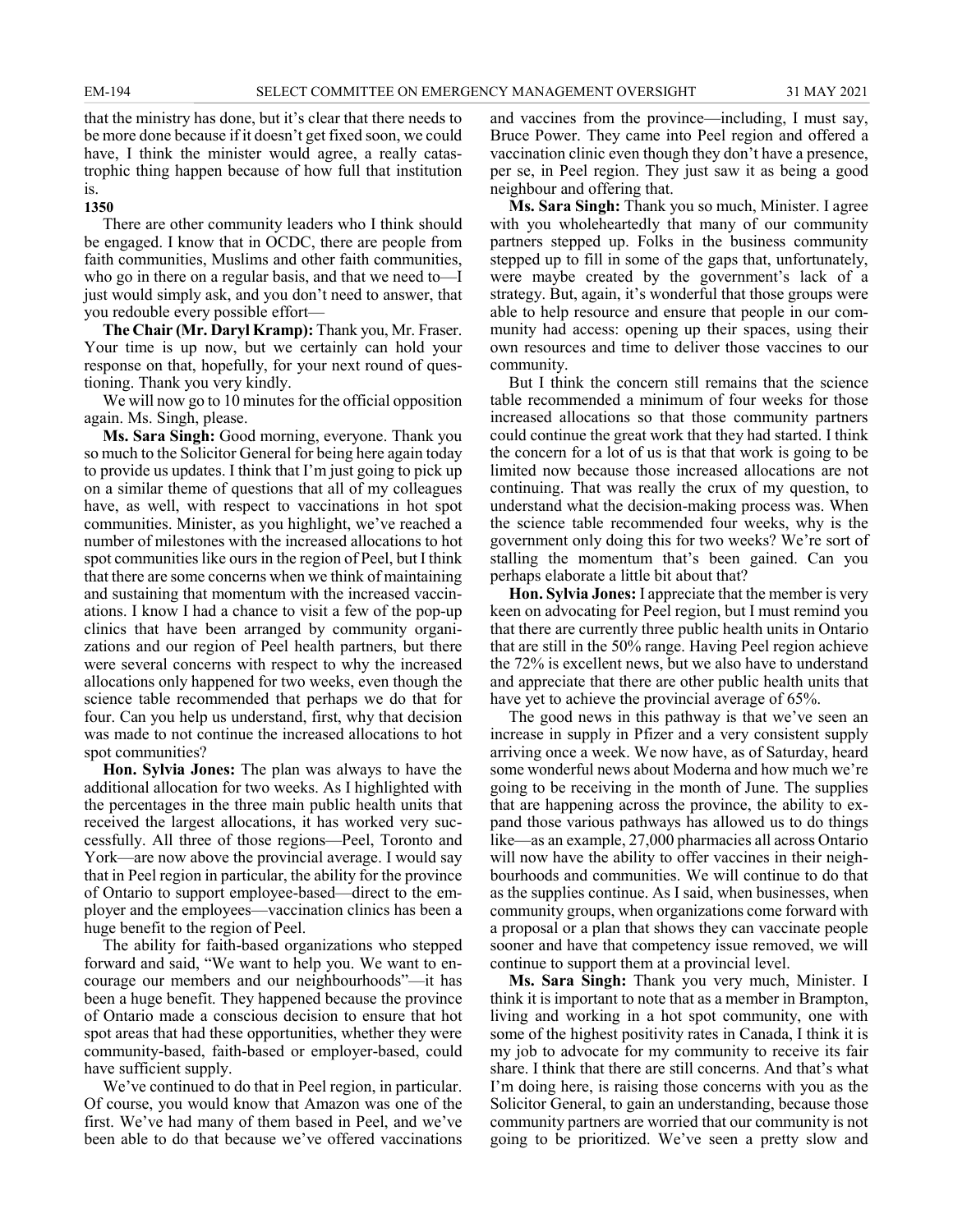that the ministry has done, but it's clear that there needs to be more done because if it doesn't get fixed soon, we could have, I think the minister would agree, a really catastrophic thing happen because of how full that institution is.

#### **1350**

There are other community leaders who I think should be engaged. I know that in OCDC, there are people from faith communities, Muslims and other faith communities, who go in there on a regular basis, and that we need to—I just would simply ask, and you don't need to answer, that you redouble every possible effort—

**The Chair (Mr. Daryl Kramp):** Thank you, Mr. Fraser. Your time is up now, but we certainly can hold your response on that, hopefully, for your next round of questioning. Thank you very kindly.

We will now go to 10 minutes for the official opposition again. Ms. Singh, please.

**Ms. Sara Singh:** Good morning, everyone. Thank you so much to the Solicitor General for being here again today to provide us updates. I think that I'm just going to pick up on a similar theme of questions that all of my colleagues have, as well, with respect to vaccinations in hot spot communities. Minister, as you highlight, we've reached a number of milestones with the increased allocations to hot spot communities like ours in the region of Peel, but I think that there are some concerns when we think of maintaining and sustaining that momentum with the increased vaccinations. I know I had a chance to visit a few of the pop-up clinics that have been arranged by community organizations and our region of Peel health partners, but there were several concerns with respect to why the increased allocations only happened for two weeks, even though the science table recommended that perhaps we do that for four. Can you help us understand, first, why that decision was made to not continue the increased allocations to hot spot communities?

**Hon. Sylvia Jones:** The plan was always to have the additional allocation for two weeks. As I highlighted with the percentages in the three main public health units that received the largest allocations, it has worked very successfully. All three of those regions—Peel, Toronto and York—are now above the provincial average. I would say that in Peel region in particular, the ability for the province of Ontario to support employee-based—direct to the employer and the employees—vaccination clinics has been a huge benefit to the region of Peel.

The ability for faith-based organizations who stepped forward and said, "We want to help you. We want to encourage our members and our neighbourhoods"—it has been a huge benefit. They happened because the province of Ontario made a conscious decision to ensure that hot spot areas that had these opportunities, whether they were community-based, faith-based or employer-based, could have sufficient supply.

We've continued to do that in Peel region, in particular. Of course, you would know that Amazon was one of the first. We've had many of them based in Peel, and we've been able to do that because we've offered vaccinations and vaccines from the province—including, I must say, Bruce Power. They came into Peel region and offered a vaccination clinic even though they don't have a presence, per se, in Peel region. They just saw it as being a good neighbour and offering that.

**Ms. Sara Singh:** Thank you so much, Minister. I agree with you wholeheartedly that many of our community partners stepped up. Folks in the business community stepped up to fill in some of the gaps that, unfortunately, were maybe created by the government's lack of a strategy. But, again, it's wonderful that those groups were able to help resource and ensure that people in our community had access: opening up their spaces, using their own resources and time to deliver those vaccines to our community.

But I think the concern still remains that the science table recommended a minimum of four weeks for those increased allocations so that those community partners could continue the great work that they had started. I think the concern for a lot of us is that that work is going to be limited now because those increased allocations are not continuing. That was really the crux of my question, to understand what the decision-making process was. When the science table recommended four weeks, why is the government only doing this for two weeks? We're sort of stalling the momentum that's been gained. Can you perhaps elaborate a little bit about that?

**Hon. Sylvia Jones:** I appreciate that the member is very keen on advocating for Peel region, but I must remind you that there are currently three public health units in Ontario that are still in the 50% range. Having Peel region achieve the 72% is excellent news, but we also have to understand and appreciate that there are other public health units that have yet to achieve the provincial average of 65%.

The good news in this pathway is that we've seen an increase in supply in Pfizer and a very consistent supply arriving once a week. We now have, as of Saturday, heard some wonderful news about Moderna and how much we're going to be receiving in the month of June. The supplies that are happening across the province, the ability to expand those various pathways has allowed us to do things like—as an example, 27,000 pharmacies all across Ontario will now have the ability to offer vaccines in their neighbourhoods and communities. We will continue to do that as the supplies continue. As I said, when businesses, when community groups, when organizations come forward with a proposal or a plan that shows they can vaccinate people sooner and have that competency issue removed, we will continue to support them at a provincial level.

**Ms. Sara Singh:** Thank you very much, Minister. I think it is important to note that as a member in Brampton, living and working in a hot spot community, one with some of the highest positivity rates in Canada, I think it is my job to advocate for my community to receive its fair share. I think that there are still concerns. And that's what I'm doing here, is raising those concerns with you as the Solicitor General, to gain an understanding, because those community partners are worried that our community is not going to be prioritized. We've seen a pretty slow and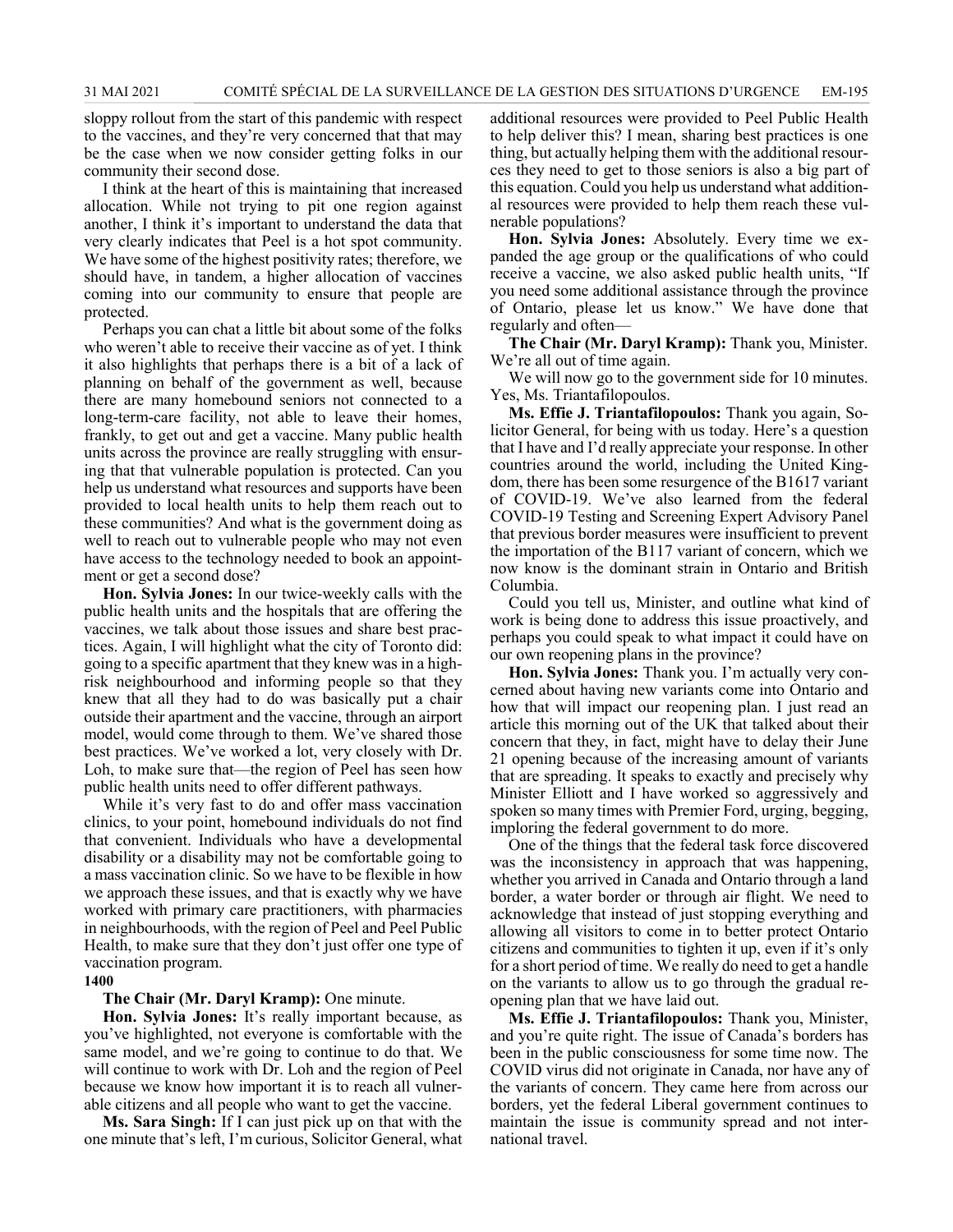sloppy rollout from the start of this pandemic with respect to the vaccines, and they're very concerned that that may be the case when we now consider getting folks in our community their second dose.

I think at the heart of this is maintaining that increased allocation. While not trying to pit one region against another, I think it's important to understand the data that very clearly indicates that Peel is a hot spot community. We have some of the highest positivity rates; therefore, we should have, in tandem, a higher allocation of vaccines coming into our community to ensure that people are protected.

Perhaps you can chat a little bit about some of the folks who weren't able to receive their vaccine as of yet. I think it also highlights that perhaps there is a bit of a lack of planning on behalf of the government as well, because there are many homebound seniors not connected to a long-term-care facility, not able to leave their homes, frankly, to get out and get a vaccine. Many public health units across the province are really struggling with ensuring that that vulnerable population is protected. Can you help us understand what resources and supports have been provided to local health units to help them reach out to these communities? And what is the government doing as well to reach out to vulnerable people who may not even have access to the technology needed to book an appointment or get a second dose?

**Hon. Sylvia Jones:** In our twice-weekly calls with the public health units and the hospitals that are offering the vaccines, we talk about those issues and share best practices. Again, I will highlight what the city of Toronto did: going to a specific apartment that they knew was in a highrisk neighbourhood and informing people so that they knew that all they had to do was basically put a chair outside their apartment and the vaccine, through an airport model, would come through to them. We've shared those best practices. We've worked a lot, very closely with Dr. Loh, to make sure that—the region of Peel has seen how public health units need to offer different pathways.

While it's very fast to do and offer mass vaccination clinics, to your point, homebound individuals do not find that convenient. Individuals who have a developmental disability or a disability may not be comfortable going to a mass vaccination clinic. So we have to be flexible in how we approach these issues, and that is exactly why we have worked with primary care practitioners, with pharmacies in neighbourhoods, with the region of Peel and Peel Public Health, to make sure that they don't just offer one type of vaccination program.

## **1400**

#### **The Chair (Mr. Daryl Kramp):** One minute.

**Hon. Sylvia Jones:** It's really important because, as you've highlighted, not everyone is comfortable with the same model, and we're going to continue to do that. We will continue to work with Dr. Loh and the region of Peel because we know how important it is to reach all vulnerable citizens and all people who want to get the vaccine.

**Ms. Sara Singh:** If I can just pick up on that with the one minute that's left, I'm curious, Solicitor General, what additional resources were provided to Peel Public Health to help deliver this? I mean, sharing best practices is one thing, but actually helping them with the additional resources they need to get to those seniors is also a big part of this equation. Could you help us understand what additional resources were provided to help them reach these vulnerable populations?

**Hon. Sylvia Jones:** Absolutely. Every time we expanded the age group or the qualifications of who could receive a vaccine, we also asked public health units, "If you need some additional assistance through the province of Ontario, please let us know." We have done that regularly and often—

**The Chair (Mr. Daryl Kramp):** Thank you, Minister. We're all out of time again.

We will now go to the government side for 10 minutes. Yes, Ms. Triantafilopoulos.

**Ms. Effie J. Triantafilopoulos:** Thank you again, Solicitor General, for being with us today. Here's a question that I have and I'd really appreciate your response. In other countries around the world, including the United Kingdom, there has been some resurgence of the B1617 variant of COVID-19. We've also learned from the federal COVID-19 Testing and Screening Expert Advisory Panel that previous border measures were insufficient to prevent the importation of the B117 variant of concern, which we now know is the dominant strain in Ontario and British Columbia.

Could you tell us, Minister, and outline what kind of work is being done to address this issue proactively, and perhaps you could speak to what impact it could have on our own reopening plans in the province?

**Hon. Sylvia Jones:** Thank you. I'm actually very concerned about having new variants come into Ontario and how that will impact our reopening plan. I just read an article this morning out of the UK that talked about their concern that they, in fact, might have to delay their June 21 opening because of the increasing amount of variants that are spreading. It speaks to exactly and precisely why Minister Elliott and I have worked so aggressively and spoken so many times with Premier Ford, urging, begging, imploring the federal government to do more.

One of the things that the federal task force discovered was the inconsistency in approach that was happening, whether you arrived in Canada and Ontario through a land border, a water border or through air flight. We need to acknowledge that instead of just stopping everything and allowing all visitors to come in to better protect Ontario citizens and communities to tighten it up, even if it's only for a short period of time. We really do need to get a handle on the variants to allow us to go through the gradual reopening plan that we have laid out.

**Ms. Effie J. Triantafilopoulos:** Thank you, Minister, and you're quite right. The issue of Canada's borders has been in the public consciousness for some time now. The COVID virus did not originate in Canada, nor have any of the variants of concern. They came here from across our borders, yet the federal Liberal government continues to maintain the issue is community spread and not international travel.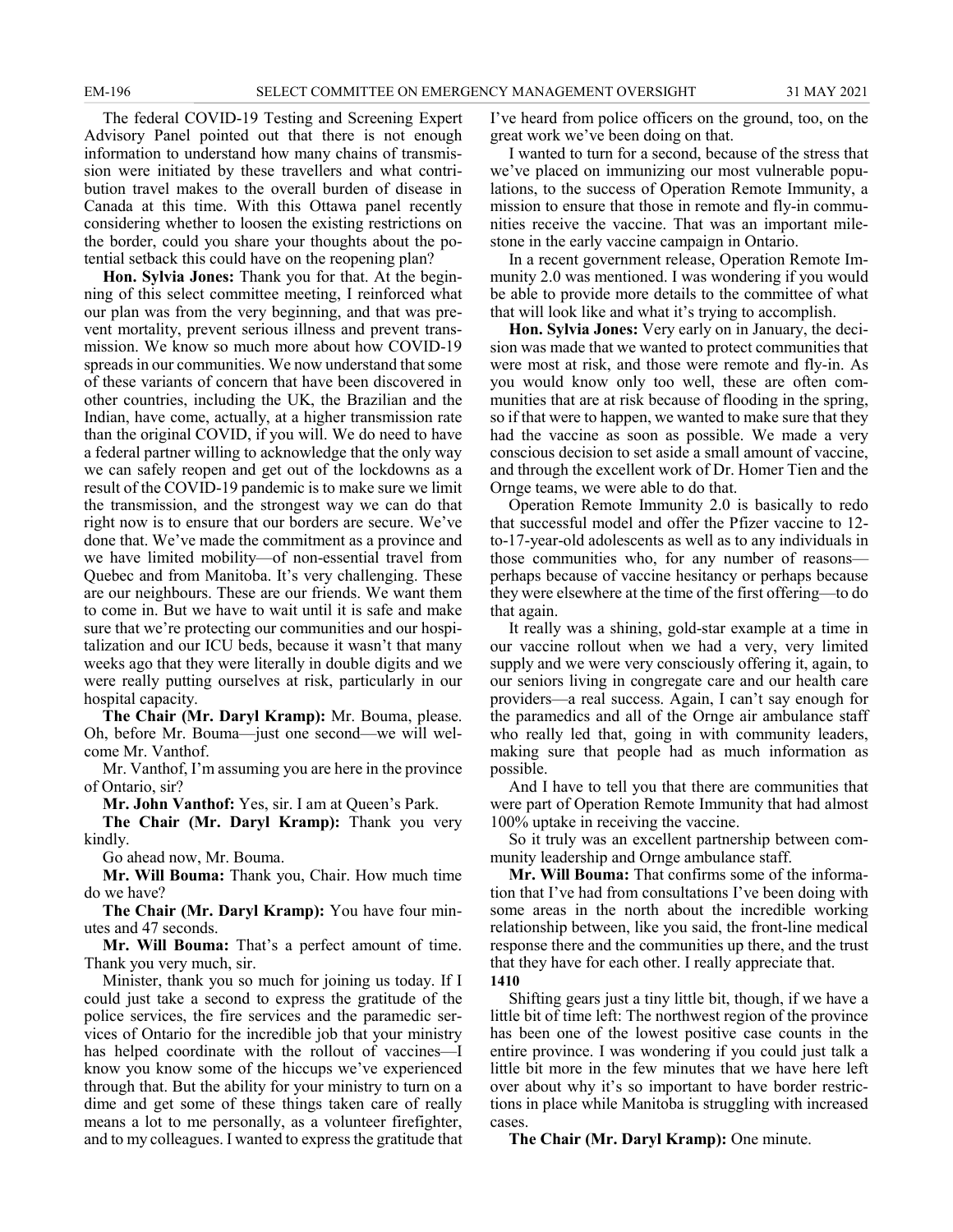The federal COVID-19 Testing and Screening Expert Advisory Panel pointed out that there is not enough information to understand how many chains of transmission were initiated by these travellers and what contribution travel makes to the overall burden of disease in Canada at this time. With this Ottawa panel recently considering whether to loosen the existing restrictions on the border, could you share your thoughts about the potential setback this could have on the reopening plan?

**Hon. Sylvia Jones:** Thank you for that. At the beginning of this select committee meeting, I reinforced what our plan was from the very beginning, and that was prevent mortality, prevent serious illness and prevent transmission. We know so much more about how COVID-19 spreads in our communities. We now understand that some of these variants of concern that have been discovered in other countries, including the UK, the Brazilian and the Indian, have come, actually, at a higher transmission rate than the original COVID, if you will. We do need to have a federal partner willing to acknowledge that the only way we can safely reopen and get out of the lockdowns as a result of the COVID-19 pandemic is to make sure we limit the transmission, and the strongest way we can do that right now is to ensure that our borders are secure. We've done that. We've made the commitment as a province and we have limited mobility—of non-essential travel from Quebec and from Manitoba. It's very challenging. These are our neighbours. These are our friends. We want them to come in. But we have to wait until it is safe and make sure that we're protecting our communities and our hospitalization and our ICU beds, because it wasn't that many weeks ago that they were literally in double digits and we were really putting ourselves at risk, particularly in our hospital capacity.

**The Chair (Mr. Daryl Kramp):** Mr. Bouma, please. Oh, before Mr. Bouma—just one second—we will welcome Mr. Vanthof.

Mr. Vanthof, I'm assuming you are here in the province of Ontario, sir?

**Mr. John Vanthof:** Yes, sir. I am at Queen's Park.

**The Chair (Mr. Daryl Kramp):** Thank you very kindly.

Go ahead now, Mr. Bouma.

**Mr. Will Bouma:** Thank you, Chair. How much time do we have?

**The Chair (Mr. Daryl Kramp):** You have four minutes and 47 seconds.

**Mr. Will Bouma:** That's a perfect amount of time. Thank you very much, sir.

Minister, thank you so much for joining us today. If I could just take a second to express the gratitude of the police services, the fire services and the paramedic services of Ontario for the incredible job that your ministry has helped coordinate with the rollout of vaccines—I know you know some of the hiccups we've experienced through that. But the ability for your ministry to turn on a dime and get some of these things taken care of really means a lot to me personally, as a volunteer firefighter, and to my colleagues. I wanted to express the gratitude that I've heard from police officers on the ground, too, on the great work we've been doing on that.

I wanted to turn for a second, because of the stress that we've placed on immunizing our most vulnerable populations, to the success of Operation Remote Immunity, a mission to ensure that those in remote and fly-in communities receive the vaccine. That was an important milestone in the early vaccine campaign in Ontario.

In a recent government release, Operation Remote Immunity 2.0 was mentioned. I was wondering if you would be able to provide more details to the committee of what that will look like and what it's trying to accomplish.

**Hon. Sylvia Jones:** Very early on in January, the decision was made that we wanted to protect communities that were most at risk, and those were remote and fly-in. As you would know only too well, these are often communities that are at risk because of flooding in the spring, so if that were to happen, we wanted to make sure that they had the vaccine as soon as possible. We made a very conscious decision to set aside a small amount of vaccine, and through the excellent work of Dr. Homer Tien and the Ornge teams, we were able to do that.

Operation Remote Immunity 2.0 is basically to redo that successful model and offer the Pfizer vaccine to 12 to-17-year-old adolescents as well as to any individuals in those communities who, for any number of reasons perhaps because of vaccine hesitancy or perhaps because they were elsewhere at the time of the first offering—to do that again.

It really was a shining, gold-star example at a time in our vaccine rollout when we had a very, very limited supply and we were very consciously offering it, again, to our seniors living in congregate care and our health care providers—a real success. Again, I can't say enough for the paramedics and all of the Ornge air ambulance staff who really led that, going in with community leaders, making sure that people had as much information as possible.

And I have to tell you that there are communities that were part of Operation Remote Immunity that had almost 100% uptake in receiving the vaccine.

So it truly was an excellent partnership between community leadership and Ornge ambulance staff.

**Mr. Will Bouma:** That confirms some of the information that I've had from consultations I've been doing with some areas in the north about the incredible working relationship between, like you said, the front-line medical response there and the communities up there, and the trust that they have for each other. I really appreciate that. **1410**

Shifting gears just a tiny little bit, though, if we have a little bit of time left: The northwest region of the province has been one of the lowest positive case counts in the entire province. I was wondering if you could just talk a little bit more in the few minutes that we have here left over about why it's so important to have border restrictions in place while Manitoba is struggling with increased cases.

**The Chair (Mr. Daryl Kramp):** One minute.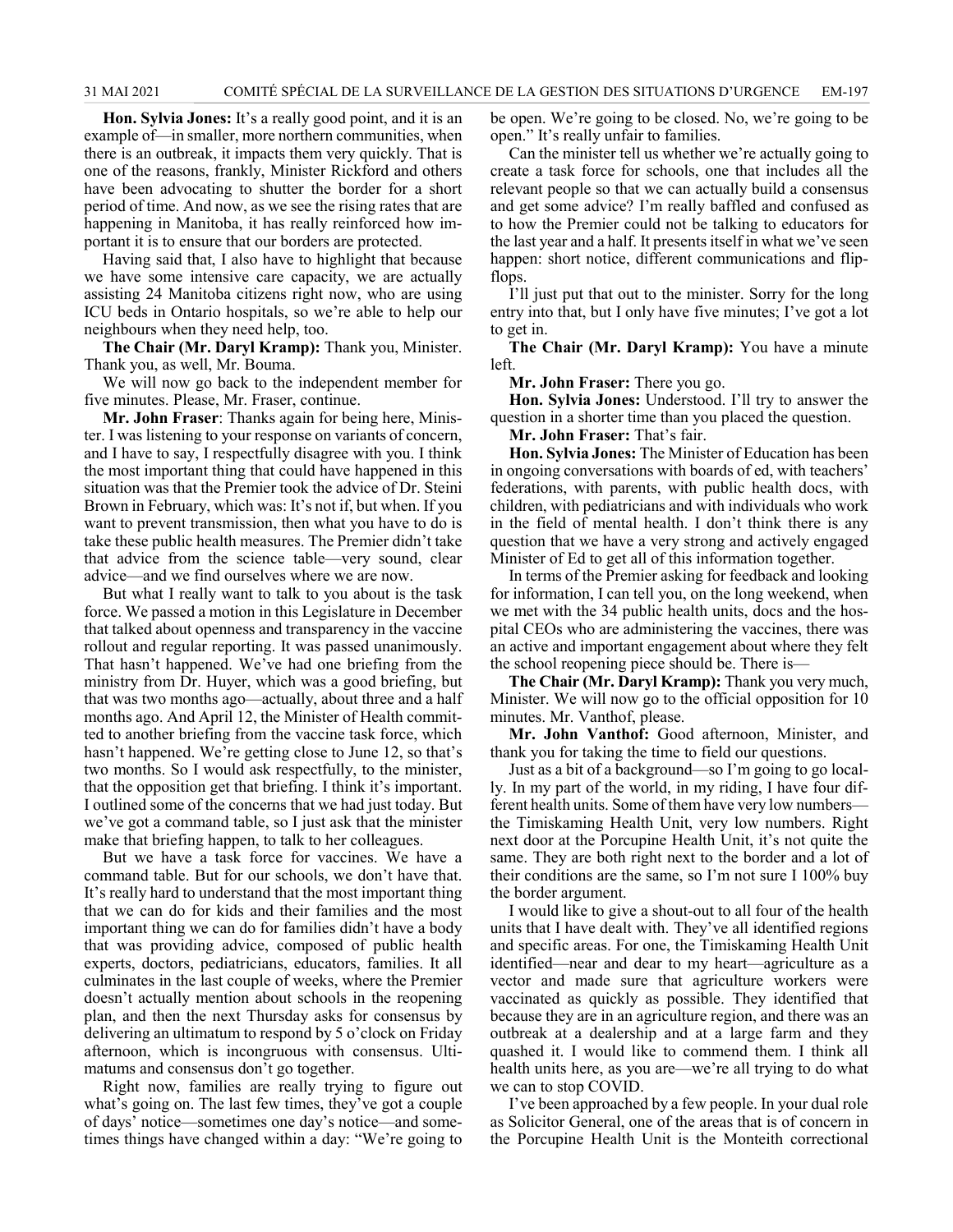**Hon. Sylvia Jones:** It's a really good point, and it is an example of—in smaller, more northern communities, when there is an outbreak, it impacts them very quickly. That is one of the reasons, frankly, Minister Rickford and others have been advocating to shutter the border for a short period of time. And now, as we see the rising rates that are happening in Manitoba, it has really reinforced how important it is to ensure that our borders are protected.

Having said that, I also have to highlight that because we have some intensive care capacity, we are actually assisting 24 Manitoba citizens right now, who are using ICU beds in Ontario hospitals, so we're able to help our neighbours when they need help, too.

**The Chair (Mr. Daryl Kramp):** Thank you, Minister. Thank you, as well, Mr. Bouma.

We will now go back to the independent member for five minutes. Please, Mr. Fraser, continue.

**Mr. John Fraser**: Thanks again for being here, Minister. I was listening to your response on variants of concern, and I have to say, I respectfully disagree with you. I think the most important thing that could have happened in this situation was that the Premier took the advice of Dr. Steini Brown in February, which was: It's not if, but when. If you want to prevent transmission, then what you have to do is take these public health measures. The Premier didn't take that advice from the science table—very sound, clear advice—and we find ourselves where we are now.

But what I really want to talk to you about is the task force. We passed a motion in this Legislature in December that talked about openness and transparency in the vaccine rollout and regular reporting. It was passed unanimously. That hasn't happened. We've had one briefing from the ministry from Dr. Huyer, which was a good briefing, but that was two months ago—actually, about three and a half months ago. And April 12, the Minister of Health committed to another briefing from the vaccine task force, which hasn't happened. We're getting close to June 12, so that's two months. So I would ask respectfully, to the minister, that the opposition get that briefing. I think it's important. I outlined some of the concerns that we had just today. But we've got a command table, so I just ask that the minister make that briefing happen, to talk to her colleagues.

But we have a task force for vaccines. We have a command table. But for our schools, we don't have that. It's really hard to understand that the most important thing that we can do for kids and their families and the most important thing we can do for families didn't have a body that was providing advice, composed of public health experts, doctors, pediatricians, educators, families. It all culminates in the last couple of weeks, where the Premier doesn't actually mention about schools in the reopening plan, and then the next Thursday asks for consensus by delivering an ultimatum to respond by 5 o'clock on Friday afternoon, which is incongruous with consensus. Ultimatums and consensus don't go together.

Right now, families are really trying to figure out what's going on. The last few times, they've got a couple of days' notice—sometimes one day's notice—and sometimes things have changed within a day: "We're going to

be open. We're going to be closed. No, we're going to be open." It's really unfair to families.

Can the minister tell us whether we're actually going to create a task force for schools, one that includes all the relevant people so that we can actually build a consensus and get some advice? I'm really baffled and confused as to how the Premier could not be talking to educators for the last year and a half. It presents itself in what we've seen happen: short notice, different communications and flipflops.

I'll just put that out to the minister. Sorry for the long entry into that, but I only have five minutes; I've got a lot to get in.

**The Chair (Mr. Daryl Kramp):** You have a minute left.

**Mr. John Fraser:** There you go.

**Hon. Sylvia Jones:** Understood. I'll try to answer the question in a shorter time than you placed the question.

**Mr. John Fraser:** That's fair.

**Hon. Sylvia Jones:** The Minister of Education has been in ongoing conversations with boards of ed, with teachers' federations, with parents, with public health docs, with children, with pediatricians and with individuals who work in the field of mental health. I don't think there is any question that we have a very strong and actively engaged Minister of Ed to get all of this information together.

In terms of the Premier asking for feedback and looking for information, I can tell you, on the long weekend, when we met with the 34 public health units, docs and the hospital CEOs who are administering the vaccines, there was an active and important engagement about where they felt the school reopening piece should be. There is—

**The Chair (Mr. Daryl Kramp):** Thank you very much, Minister. We will now go to the official opposition for 10 minutes. Mr. Vanthof, please.

**Mr. John Vanthof:** Good afternoon, Minister, and thank you for taking the time to field our questions.

Just as a bit of a background—so I'm going to go locally. In my part of the world, in my riding, I have four different health units. Some of them have very low numbers the Timiskaming Health Unit, very low numbers. Right next door at the Porcupine Health Unit, it's not quite the same. They are both right next to the border and a lot of their conditions are the same, so I'm not sure I 100% buy the border argument.

I would like to give a shout-out to all four of the health units that I have dealt with. They've all identified regions and specific areas. For one, the Timiskaming Health Unit identified—near and dear to my heart—agriculture as a vector and made sure that agriculture workers were vaccinated as quickly as possible. They identified that because they are in an agriculture region, and there was an outbreak at a dealership and at a large farm and they quashed it. I would like to commend them. I think all health units here, as you are—we're all trying to do what we can to stop COVID.

I've been approached by a few people. In your dual role as Solicitor General, one of the areas that is of concern in the Porcupine Health Unit is the Monteith correctional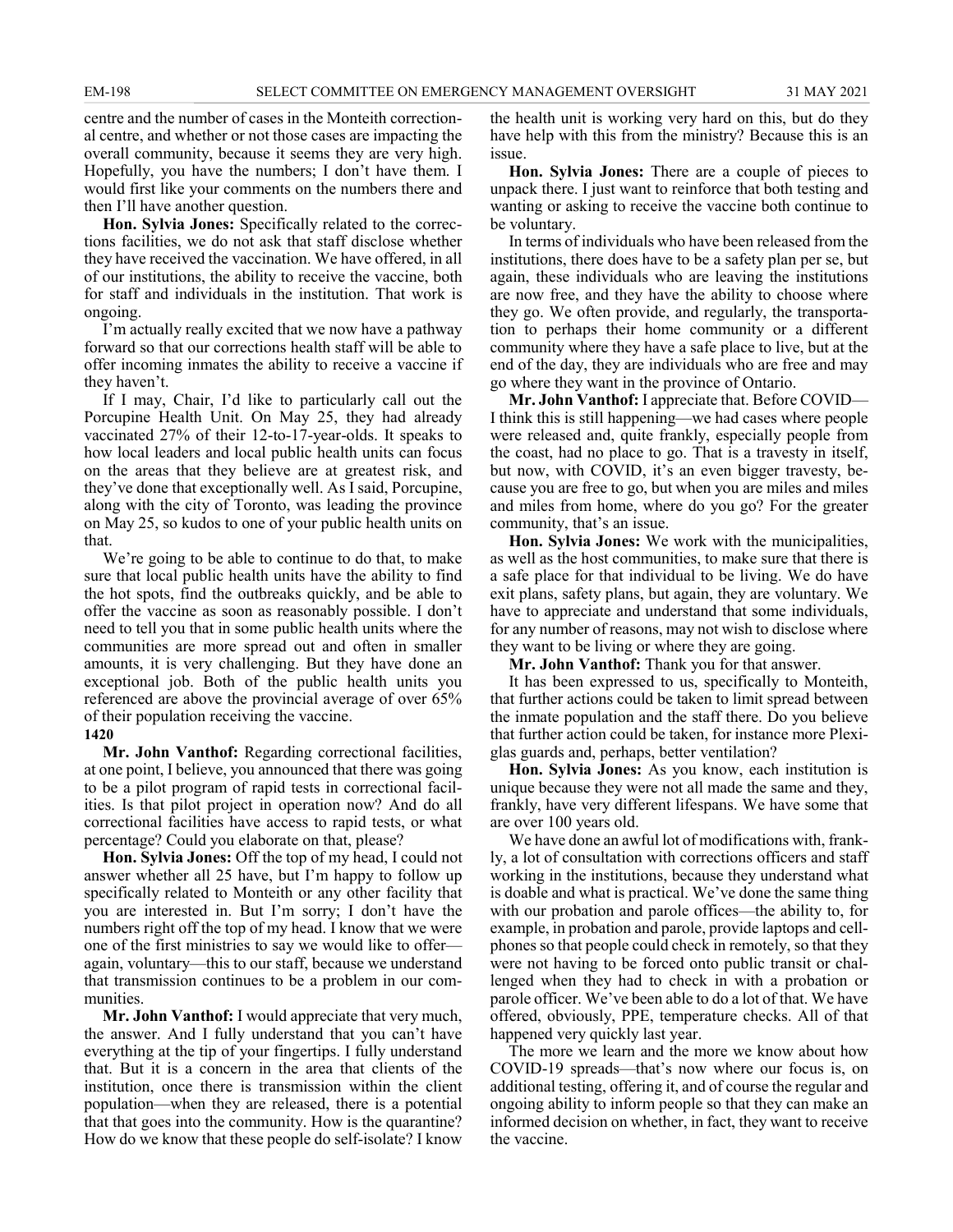centre and the number of cases in the Monteith correctional centre, and whether or not those cases are impacting the overall community, because it seems they are very high. Hopefully, you have the numbers; I don't have them. I would first like your comments on the numbers there and then I'll have another question.

**Hon. Sylvia Jones:** Specifically related to the corrections facilities, we do not ask that staff disclose whether they have received the vaccination. We have offered, in all of our institutions, the ability to receive the vaccine, both for staff and individuals in the institution. That work is ongoing.

I'm actually really excited that we now have a pathway forward so that our corrections health staff will be able to offer incoming inmates the ability to receive a vaccine if they haven't.

If I may, Chair, I'd like to particularly call out the Porcupine Health Unit. On May 25, they had already vaccinated 27% of their 12-to-17-year-olds. It speaks to how local leaders and local public health units can focus on the areas that they believe are at greatest risk, and they've done that exceptionally well. As I said, Porcupine, along with the city of Toronto, was leading the province on May 25, so kudos to one of your public health units on that.

We're going to be able to continue to do that, to make sure that local public health units have the ability to find the hot spots, find the outbreaks quickly, and be able to offer the vaccine as soon as reasonably possible. I don't need to tell you that in some public health units where the communities are more spread out and often in smaller amounts, it is very challenging. But they have done an exceptional job. Both of the public health units you referenced are above the provincial average of over 65% of their population receiving the vaccine.

#### **1420**

**Mr. John Vanthof:** Regarding correctional facilities, at one point, I believe, you announced that there was going to be a pilot program of rapid tests in correctional facilities. Is that pilot project in operation now? And do all correctional facilities have access to rapid tests, or what percentage? Could you elaborate on that, please?

**Hon. Sylvia Jones:** Off the top of my head, I could not answer whether all 25 have, but I'm happy to follow up specifically related to Monteith or any other facility that you are interested in. But I'm sorry; I don't have the numbers right off the top of my head. I know that we were one of the first ministries to say we would like to offer again, voluntary—this to our staff, because we understand that transmission continues to be a problem in our communities.

**Mr. John Vanthof:** I would appreciate that very much, the answer. And I fully understand that you can't have everything at the tip of your fingertips. I fully understand that. But it is a concern in the area that clients of the institution, once there is transmission within the client population—when they are released, there is a potential that that goes into the community. How is the quarantine? How do we know that these people do self-isolate? I know the health unit is working very hard on this, but do they have help with this from the ministry? Because this is an issue.

**Hon. Sylvia Jones:** There are a couple of pieces to unpack there. I just want to reinforce that both testing and wanting or asking to receive the vaccine both continue to be voluntary.

In terms of individuals who have been released from the institutions, there does have to be a safety plan per se, but again, these individuals who are leaving the institutions are now free, and they have the ability to choose where they go. We often provide, and regularly, the transportation to perhaps their home community or a different community where they have a safe place to live, but at the end of the day, they are individuals who are free and may go where they want in the province of Ontario.

**Mr. John Vanthof:** I appreciate that. Before COVID— I think this is still happening—we had cases where people were released and, quite frankly, especially people from the coast, had no place to go. That is a travesty in itself, but now, with COVID, it's an even bigger travesty, because you are free to go, but when you are miles and miles and miles from home, where do you go? For the greater community, that's an issue.

**Hon. Sylvia Jones:** We work with the municipalities, as well as the host communities, to make sure that there is a safe place for that individual to be living. We do have exit plans, safety plans, but again, they are voluntary. We have to appreciate and understand that some individuals, for any number of reasons, may not wish to disclose where they want to be living or where they are going.

**Mr. John Vanthof:** Thank you for that answer.

It has been expressed to us, specifically to Monteith, that further actions could be taken to limit spread between the inmate population and the staff there. Do you believe that further action could be taken, for instance more Plexiglas guards and, perhaps, better ventilation?

**Hon. Sylvia Jones:** As you know, each institution is unique because they were not all made the same and they, frankly, have very different lifespans. We have some that are over 100 years old.

We have done an awful lot of modifications with, frankly, a lot of consultation with corrections officers and staff working in the institutions, because they understand what is doable and what is practical. We've done the same thing with our probation and parole offices—the ability to, for example, in probation and parole, provide laptops and cellphones so that people could check in remotely, so that they were not having to be forced onto public transit or challenged when they had to check in with a probation or parole officer. We've been able to do a lot of that. We have offered, obviously, PPE, temperature checks. All of that happened very quickly last year.

The more we learn and the more we know about how COVID-19 spreads—that's now where our focus is, on additional testing, offering it, and of course the regular and ongoing ability to inform people so that they can make an informed decision on whether, in fact, they want to receive the vaccine.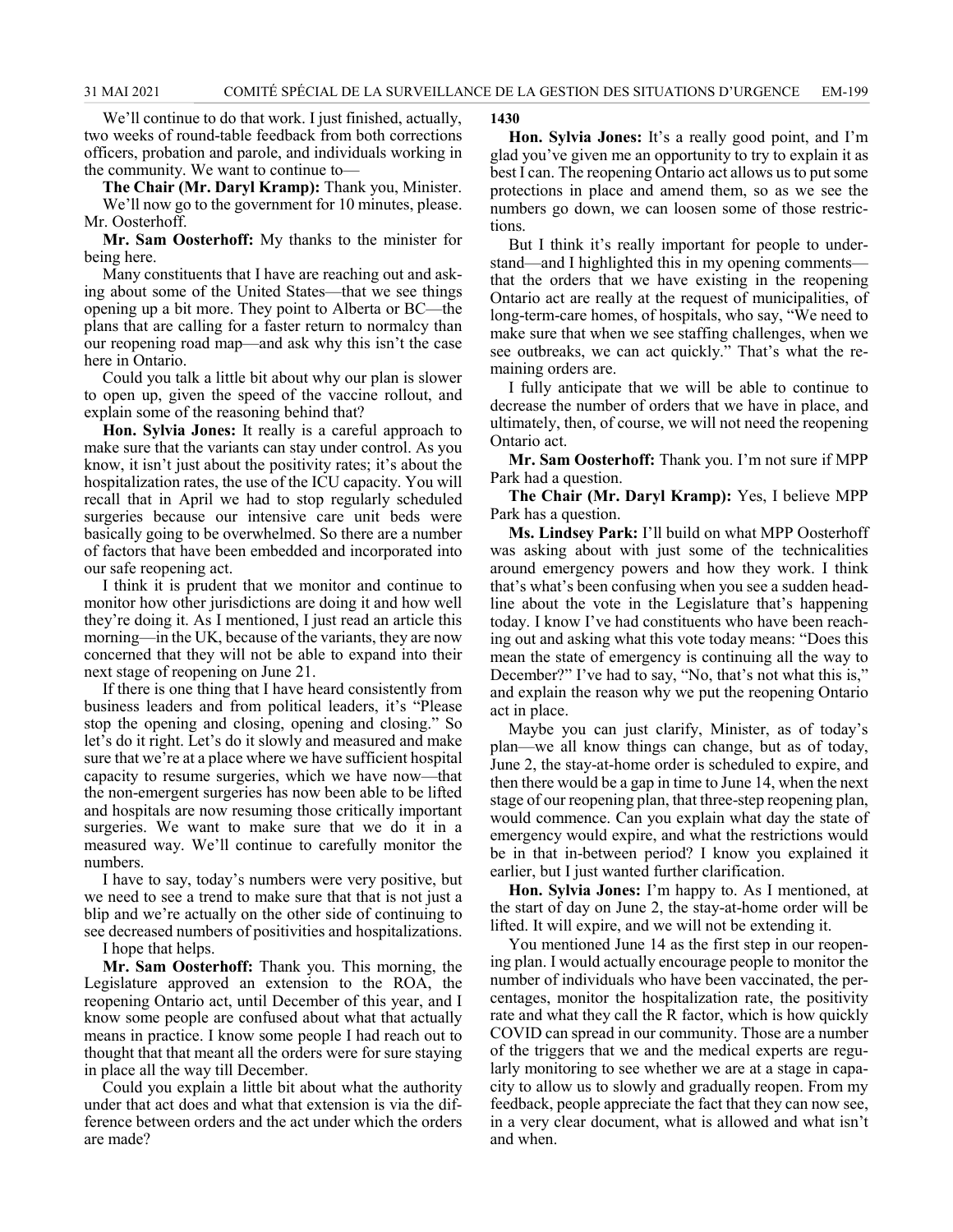We'll continue to do that work. I just finished, actually, two weeks of round-table feedback from both corrections officers, probation and parole, and individuals working in the community. We want to continue to—

**The Chair (Mr. Daryl Kramp):** Thank you, Minister. We'll now go to the government for 10 minutes, please. Mr. Oosterhoff.

**Mr. Sam Oosterhoff:** My thanks to the minister for being here.

Many constituents that I have are reaching out and asking about some of the United States—that we see things opening up a bit more. They point to Alberta or BC—the plans that are calling for a faster return to normalcy than our reopening road map—and ask why this isn't the case here in Ontario.

Could you talk a little bit about why our plan is slower to open up, given the speed of the vaccine rollout, and explain some of the reasoning behind that?

**Hon. Sylvia Jones:** It really is a careful approach to make sure that the variants can stay under control. As you know, it isn't just about the positivity rates; it's about the hospitalization rates, the use of the ICU capacity. You will recall that in April we had to stop regularly scheduled surgeries because our intensive care unit beds were basically going to be overwhelmed. So there are a number of factors that have been embedded and incorporated into our safe reopening act.

I think it is prudent that we monitor and continue to monitor how other jurisdictions are doing it and how well they're doing it. As I mentioned, I just read an article this morning—in the UK, because of the variants, they are now concerned that they will not be able to expand into their next stage of reopening on June 21.

If there is one thing that I have heard consistently from business leaders and from political leaders, it's "Please stop the opening and closing, opening and closing." So let's do it right. Let's do it slowly and measured and make sure that we're at a place where we have sufficient hospital capacity to resume surgeries, which we have now—that the non-emergent surgeries has now been able to be lifted and hospitals are now resuming those critically important surgeries. We want to make sure that we do it in a measured way. We'll continue to carefully monitor the numbers.

I have to say, today's numbers were very positive, but we need to see a trend to make sure that that is not just a blip and we're actually on the other side of continuing to see decreased numbers of positivities and hospitalizations.

I hope that helps.

**Mr. Sam Oosterhoff:** Thank you. This morning, the Legislature approved an extension to the ROA, the reopening Ontario act, until December of this year, and I know some people are confused about what that actually means in practice. I know some people I had reach out to thought that that meant all the orders were for sure staying in place all the way till December.

Could you explain a little bit about what the authority under that act does and what that extension is via the difference between orders and the act under which the orders are made?

#### **1430**

**Hon. Sylvia Jones:** It's a really good point, and I'm glad you've given me an opportunity to try to explain it as best I can. The reopening Ontario act allows us to put some protections in place and amend them, so as we see the numbers go down, we can loosen some of those restrictions.

But I think it's really important for people to understand—and I highlighted this in my opening comments that the orders that we have existing in the reopening Ontario act are really at the request of municipalities, of long-term-care homes, of hospitals, who say, "We need to make sure that when we see staffing challenges, when we see outbreaks, we can act quickly." That's what the remaining orders are.

I fully anticipate that we will be able to continue to decrease the number of orders that we have in place, and ultimately, then, of course, we will not need the reopening Ontario act.

**Mr. Sam Oosterhoff:** Thank you. I'm not sure if MPP Park had a question.

**The Chair (Mr. Daryl Kramp):** Yes, I believe MPP Park has a question.

**Ms. Lindsey Park:** I'll build on what MPP Oosterhoff was asking about with just some of the technicalities around emergency powers and how they work. I think that's what's been confusing when you see a sudden headline about the vote in the Legislature that's happening today. I know I've had constituents who have been reaching out and asking what this vote today means: "Does this mean the state of emergency is continuing all the way to December?" I've had to say, "No, that's not what this is," and explain the reason why we put the reopening Ontario act in place.

Maybe you can just clarify, Minister, as of today's plan—we all know things can change, but as of today, June 2, the stay-at-home order is scheduled to expire, and then there would be a gap in time to June 14, when the next stage of our reopening plan, that three-step reopening plan, would commence. Can you explain what day the state of emergency would expire, and what the restrictions would be in that in-between period? I know you explained it earlier, but I just wanted further clarification.

**Hon. Sylvia Jones:** I'm happy to. As I mentioned, at the start of day on June 2, the stay-at-home order will be lifted. It will expire, and we will not be extending it.

You mentioned June 14 as the first step in our reopening plan. I would actually encourage people to monitor the number of individuals who have been vaccinated, the percentages, monitor the hospitalization rate, the positivity rate and what they call the R factor, which is how quickly COVID can spread in our community. Those are a number of the triggers that we and the medical experts are regularly monitoring to see whether we are at a stage in capacity to allow us to slowly and gradually reopen. From my feedback, people appreciate the fact that they can now see, in a very clear document, what is allowed and what isn't and when.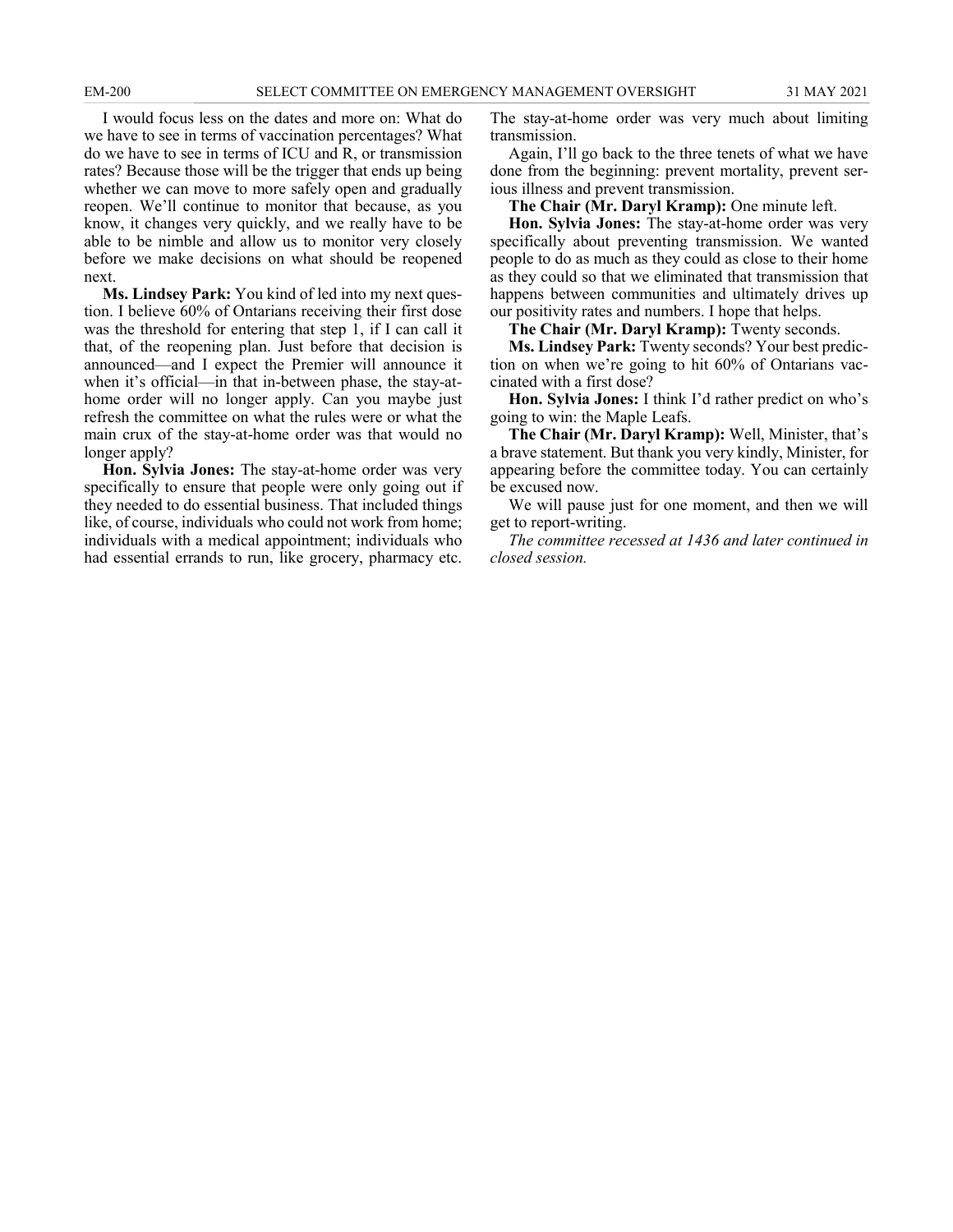I would focus less on the dates and more on: What do we have to see in terms of vaccination percentages? What do we have to see in terms of ICU and R, or transmission rates? Because those will be the trigger that ends up being whether we can move to more safely open and gradually reopen. We'll continue to monitor that because, as you know, it changes very quickly, and we really have to be able to be nimble and allow us to monitor very closely before we make decisions on what should be reopened next.

**Ms. Lindsey Park:** You kind of led into my next question. I believe 60% of Ontarians receiving their first dose was the threshold for entering that step 1, if I can call it that, of the reopening plan. Just before that decision is announced—and I expect the Premier will announce it when it's official—in that in-between phase, the stay-athome order will no longer apply. Can you maybe just refresh the committee on what the rules were or what the main crux of the stay-at-home order was that would no longer apply?

**Hon. Sylvia Jones:** The stay-at-home order was very specifically to ensure that people were only going out if they needed to do essential business. That included things like, of course, individuals who could not work from home; individuals with a medical appointment; individuals who had essential errands to run, like grocery, pharmacy etc.

The stay-at-home order was very much about limiting transmission.

Again, I'll go back to the three tenets of what we have done from the beginning: prevent mortality, prevent serious illness and prevent transmission.

**The Chair (Mr. Daryl Kramp):** One minute left.

**Hon. Sylvia Jones:** The stay-at-home order was very specifically about preventing transmission. We wanted people to do as much as they could as close to their home as they could so that we eliminated that transmission that happens between communities and ultimately drives up our positivity rates and numbers. I hope that helps.

**The Chair (Mr. Daryl Kramp):** Twenty seconds.

**Ms. Lindsey Park:** Twenty seconds? Your best prediction on when we're going to hit 60% of Ontarians vaccinated with a first dose?

**Hon. Sylvia Jones:** I think I'd rather predict on who's going to win: the Maple Leafs.

**The Chair (Mr. Daryl Kramp):** Well, Minister, that's a brave statement. But thank you very kindly, Minister, for appearing before the committee today. You can certainly be excused now.

We will pause just for one moment, and then we will get to report-writing.

*The committee recessed at 1436 and later continued in closed session.*